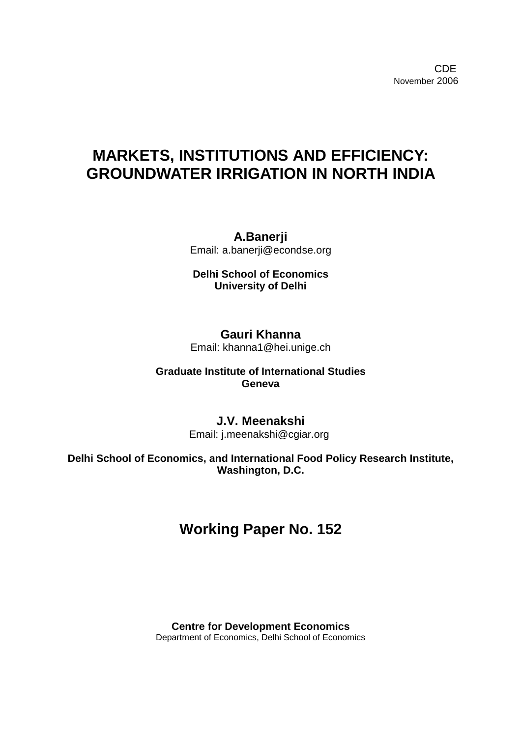**CDE COLLECTION** November 2006

# **MARKETS, INSTITUTIONS AND EFFICIENCY: GROUNDWATER IRRIGATION IN NORTH INDIA**

**A.Banerji**  Email: a.banerji@econdse.org

**Delhi School of Economics University of Delhi**

**Gauri Khanna**  Email: khanna1@hei.unige.ch

**Graduate Institute of International Studies Geneva** 

> **J.V. Meenakshi**  Email: j.meenakshi@cgiar.org

**Delhi School of Economics, and International Food Policy Research Institute, Washington, D.C.** 

# **Working Paper No. 152**

**Centre for Development Economics**  Department of Economics, Delhi School of Economics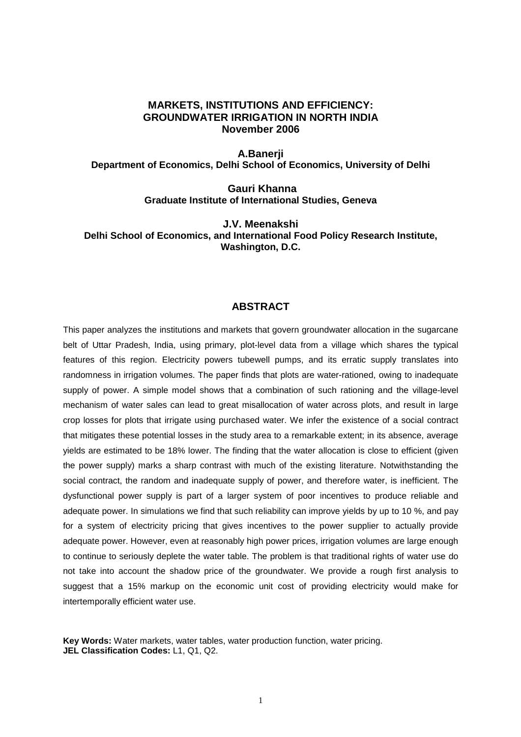#### **MARKETS, INSTITUTIONS AND EFFICIENCY: GROUNDWATER IRRIGATION IN NORTH INDIA November 2006**

**A.Banerji Department of Economics, Delhi School of Economics, University of Delhi**

> **Gauri Khanna Graduate Institute of International Studies, Geneva**

**J.V. Meenakshi Delhi School of Economics, and International Food Policy Research Institute, Washington, D.C.**

#### **ABSTRACT**

This paper analyzes the institutions and markets that govern groundwater allocation in the sugarcane belt of Uttar Pradesh, India, using primary, plot-level data from a village which shares the typical features of this region. Electricity powers tubewell pumps, and its erratic supply translates into randomness in irrigation volumes. The paper finds that plots are water-rationed, owing to inadequate supply of power. A simple model shows that a combination of such rationing and the village-level mechanism of water sales can lead to great misallocation of water across plots, and result in large crop losses for plots that irrigate using purchased water. We infer the existence of a social contract that mitigates these potential losses in the study area to a remarkable extent; in its absence, average yields are estimated to be 18% lower. The finding that the water allocation is close to efficient (given the power supply) marks a sharp contrast with much of the existing literature. Notwithstanding the social contract, the random and inadequate supply of power, and therefore water, is inefficient. The dysfunctional power supply is part of a larger system of poor incentives to produce reliable and adequate power. In simulations we find that such reliability can improve yields by up to 10 %, and pay for a system of electricity pricing that gives incentives to the power supplier to actually provide adequate power. However, even at reasonably high power prices, irrigation volumes are large enough to continue to seriously deplete the water table. The problem is that traditional rights of water use do not take into account the shadow price of the groundwater. We provide a rough first analysis to suggest that a 15% markup on the economic unit cost of providing electricity would make for intertemporally efficient water use.

**Key Words:** Water markets, water tables, water production function, water pricing. **JEL Classification Codes:** L1, Q1, Q2.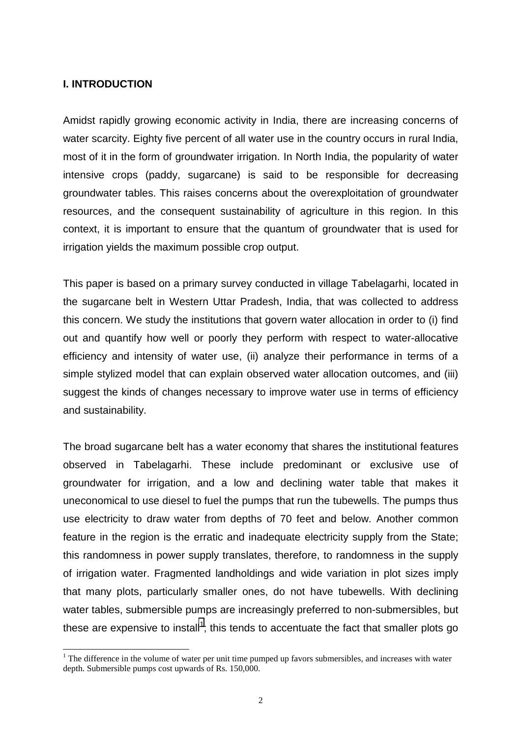### **I. INTRODUCTION**

 $\overline{a}$ 

Amidst rapidly growing economic activity in India, there are increasing concerns of water scarcity. Eighty five percent of all water use in the country occurs in rural India, most of it in the form of groundwater irrigation. In North India, the popularity of water intensive crops (paddy, sugarcane) is said to be responsible for decreasing groundwater tables. This raises concerns about the overexploitation of groundwater resources, and the consequent sustainability of agriculture in this region. In this context, it is important to ensure that the quantum of groundwater that is used for irrigation yields the maximum possible crop output.

This paper is based on a primary survey conducted in village Tabelagarhi, located in the sugarcane belt in Western Uttar Pradesh, India, that was collected to address this concern. We study the institutions that govern water allocation in order to (i) find out and quantify how well or poorly they perform with respect to water-allocative efficiency and intensity of water use, (ii) analyze their performance in terms of a simple stylized model that can explain observed water allocation outcomes, and (iii) suggest the kinds of changes necessary to improve water use in terms of efficiency and sustainability.

The broad sugarcane belt has a water economy that shares the institutional features observed in Tabelagarhi. These include predominant or exclusive use of groundwater for irrigation, and a low and declining water table that makes it uneconomical to use diesel to fuel the pumps that run the tubewells. The pumps thus use electricity to draw water from depths of 70 feet and below. Another common feature in the region is the erratic and inadequate electricity supply from the State; this randomness in power supply translates, therefore, to randomness in the supply of irrigation water. Fragmented landholdings and wide variation in plot sizes imply that many plots, particularly smaller ones, do not have tubewells. With declining water tables, submersible pumps are increasingly preferred to non-submersibles, but these are expensive to install<sup>1</sup>; this tends to accentuate the fact that smaller plots go

 $1$  The difference in the volume of water per unit time pumped up favors submersibles, and increases with water depth. Submersible pumps cost upwards of Rs. 150,000.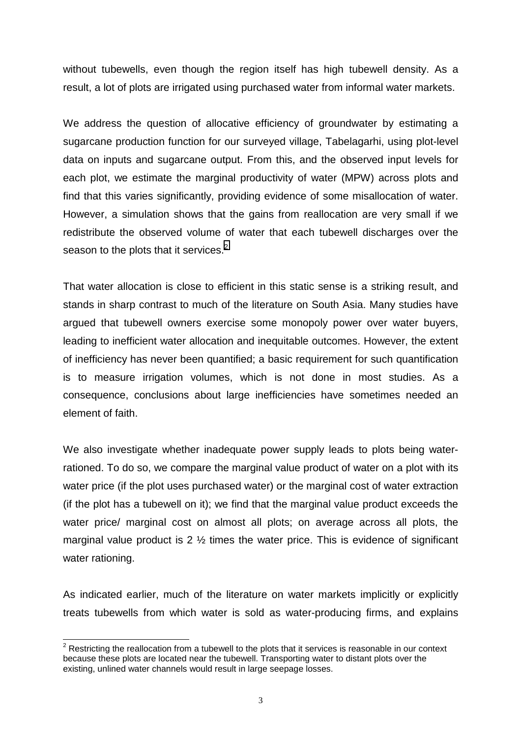without tubewells, even though the region itself has high tubewell density. As a result, a lot of plots are irrigated using purchased water from informal water markets.

We address the question of allocative efficiency of groundwater by estimating a sugarcane production function for our surveyed village, Tabelagarhi, using plot-level data on inputs and sugarcane output. From this, and the observed input levels for each plot, we estimate the marginal productivity of water (MPW) across plots and find that this varies significantly, providing evidence of some misallocation of water. However, a simulation shows that the gains from reallocation are very small if we redistribute the observed volume of water that each tubewell discharges over the season to the plots that it services.<sup>2</sup>

That water allocation is close to efficient in this static sense is a striking result, and stands in sharp contrast to much of the literature on South Asia. Many studies have argued that tubewell owners exercise some monopoly power over water buyers, leading to inefficient water allocation and inequitable outcomes. However, the extent of inefficiency has never been quantified; a basic requirement for such quantification is to measure irrigation volumes, which is not done in most studies. As a consequence, conclusions about large inefficiencies have sometimes needed an element of faith.

We also investigate whether inadequate power supply leads to plots being waterrationed. To do so, we compare the marginal value product of water on a plot with its water price (if the plot uses purchased water) or the marginal cost of water extraction (if the plot has a tubewell on it); we find that the marginal value product exceeds the water price/ marginal cost on almost all plots; on average across all plots, the marginal value product is  $2 \frac{1}{2}$  times the water price. This is evidence of significant water rationing.

As indicated earlier, much of the literature on water markets implicitly or explicitly treats tubewells from which water is sold as water-producing firms, and explains

 $\overline{\phantom{a}^2}$  Restricting the reallocation from a tubewell to the plots that it services is reasonable in our context because these plots are located near the tubewell. Transporting water to distant plots over the existing, unlined water channels would result in large seepage losses.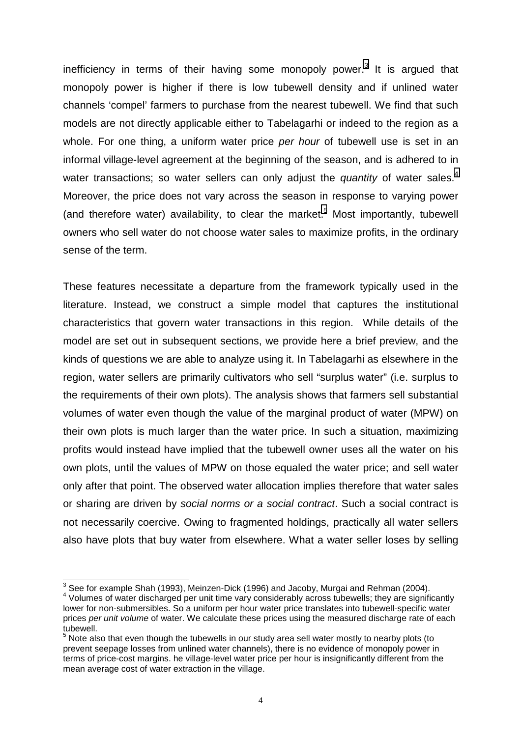inefficiency in terms of their having some monopoly power.<sup>3</sup> It is argued that monopoly power is higher if there is low tubewell density and if unlined water channels 'compel' farmers to purchase from the nearest tubewell. We find that such models are not directly applicable either to Tabelagarhi or indeed to the region as a whole. For one thing, a uniform water price *per hour* of tubewell use is set in an informal village-level agreement at the beginning of the season, and is adhered to in water transactions; so water sellers can only adjust the *quantity* of water sales.<sup>4</sup> Moreover, the price does not vary across the season in response to varying power (and therefore water) availability, to clear the market.<sup>5</sup> Most importantly, tubewell owners who sell water do not choose water sales to maximize profits, in the ordinary sense of the term.

These features necessitate a departure from the framework typically used in the literature. Instead, we construct a simple model that captures the institutional characteristics that govern water transactions in this region. While details of the model are set out in subsequent sections, we provide here a brief preview, and the kinds of questions we are able to analyze using it. In Tabelagarhi as elsewhere in the region, water sellers are primarily cultivators who sell "surplus water" (i.e. surplus to the requirements of their own plots). The analysis shows that farmers sell substantial volumes of water even though the value of the marginal product of water (MPW) on their own plots is much larger than the water price. In such a situation, maximizing profits would instead have implied that the tubewell owner uses all the water on his own plots, until the values of MPW on those equaled the water price; and sell water only after that point. The observed water allocation implies therefore that water sales or sharing are driven by *social norms or a social contract*. Such a social contract is not necessarily coercive. Owing to fragmented holdings, practically all water sellers also have plots that buy water from elsewhere. What a water seller loses by selling

 3 See for example Shah (1993), Meinzen-Dick (1996) and Jacoby, Murgai and Rehman (2004).

<sup>4</sup> Volumes of water discharged per unit time vary considerably across tubewells; they are significantly lower for non-submersibles. So a uniform per hour water price translates into tubewell-specific water prices *per unit volume* of water. We calculate these prices using the measured discharge rate of each tubewell.

 $5$  Note also that even though the tubewells in our study area sell water mostly to nearby plots (to prevent seepage losses from unlined water channels), there is no evidence of monopoly power in terms of price-cost margins. he village-level water price per hour is insignificantly different from the mean average cost of water extraction in the village.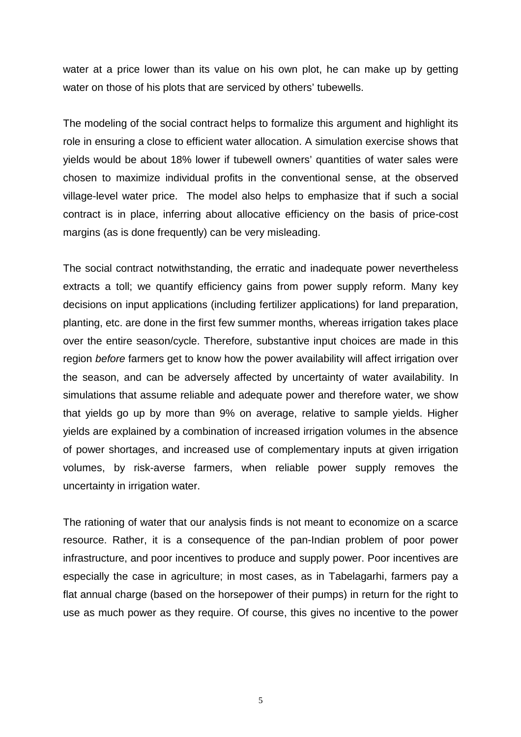water at a price lower than its value on his own plot, he can make up by getting water on those of his plots that are serviced by others' tubewells.

The modeling of the social contract helps to formalize this argument and highlight its role in ensuring a close to efficient water allocation. A simulation exercise shows that yields would be about 18% lower if tubewell owners' quantities of water sales were chosen to maximize individual profits in the conventional sense, at the observed village-level water price. The model also helps to emphasize that if such a social contract is in place, inferring about allocative efficiency on the basis of price-cost margins (as is done frequently) can be very misleading.

The social contract notwithstanding, the erratic and inadequate power nevertheless extracts a toll; we quantify efficiency gains from power supply reform. Many key decisions on input applications (including fertilizer applications) for land preparation, planting, etc. are done in the first few summer months, whereas irrigation takes place over the entire season/cycle. Therefore, substantive input choices are made in this region *before* farmers get to know how the power availability will affect irrigation over the season, and can be adversely affected by uncertainty of water availability. In simulations that assume reliable and adequate power and therefore water, we show that yields go up by more than 9% on average, relative to sample yields. Higher yields are explained by a combination of increased irrigation volumes in the absence of power shortages, and increased use of complementary inputs at given irrigation volumes, by risk-averse farmers, when reliable power supply removes the uncertainty in irrigation water.

The rationing of water that our analysis finds is not meant to economize on a scarce resource. Rather, it is a consequence of the pan-Indian problem of poor power infrastructure, and poor incentives to produce and supply power. Poor incentives are especially the case in agriculture; in most cases, as in Tabelagarhi, farmers pay a flat annual charge (based on the horsepower of their pumps) in return for the right to use as much power as they require. Of course, this gives no incentive to the power

5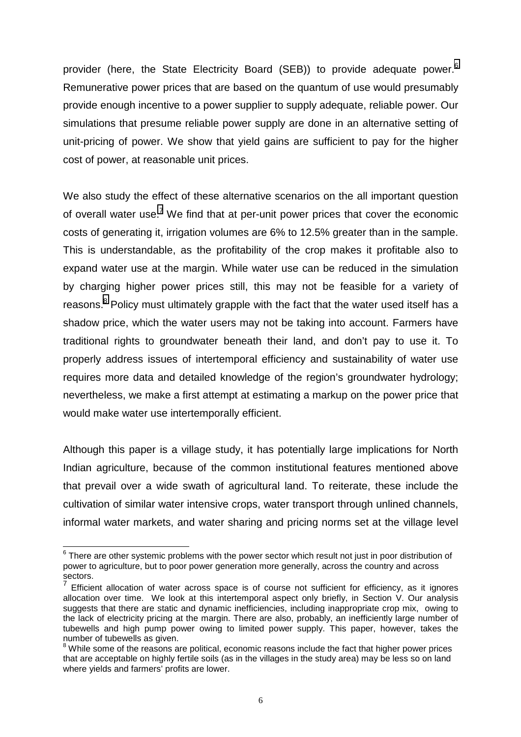provider (here, the State Electricity Board (SEB)) to provide adequate power.<sup>6</sup> Remunerative power prices that are based on the quantum of use would presumably provide enough incentive to a power supplier to supply adequate, reliable power. Our simulations that presume reliable power supply are done in an alternative setting of unit-pricing of power. We show that yield gains are sufficient to pay for the higher cost of power, at reasonable unit prices.

We also study the effect of these alternative scenarios on the all important question of overall water use.<sup>7</sup> We find that at per-unit power prices that cover the economic costs of generating it, irrigation volumes are 6% to 12.5% greater than in the sample. This is understandable, as the profitability of the crop makes it profitable also to expand water use at the margin. While water use can be reduced in the simulation by charging higher power prices still, this may not be feasible for a variety of reasons.<sup>8</sup> Policy must ultimately grapple with the fact that the water used itself has a shadow price, which the water users may not be taking into account. Farmers have traditional rights to groundwater beneath their land, and don't pay to use it. To properly address issues of intertemporal efficiency and sustainability of water use requires more data and detailed knowledge of the region's groundwater hydrology; nevertheless, we make a first attempt at estimating a markup on the power price that would make water use intertemporally efficient.

Although this paper is a village study, it has potentially large implications for North Indian agriculture, because of the common institutional features mentioned above that prevail over a wide swath of agricultural land. To reiterate, these include the cultivation of similar water intensive crops, water transport through unlined channels, informal water markets, and water sharing and pricing norms set at the village level

 6 There are other systemic problems with the power sector which result not just in poor distribution of power to agriculture, but to poor power generation more generally, across the country and across sectors.

<sup>7</sup> Efficient allocation of water across space is of course not sufficient for efficiency, as it ignores allocation over time. We look at this intertemporal aspect only briefly, in Section V. Our analysis suggests that there are static and dynamic inefficiencies, including inappropriate crop mix, owing to the lack of electricity pricing at the margin. There are also, probably, an inefficiently large number of tubewells and high pump power owing to limited power supply. This paper, however, takes the number of tubewells as given.

 $8$  While some of the reasons are political, economic reasons include the fact that higher power prices that are acceptable on highly fertile soils (as in the villages in the study area) may be less so on land where yields and farmers' profits are lower.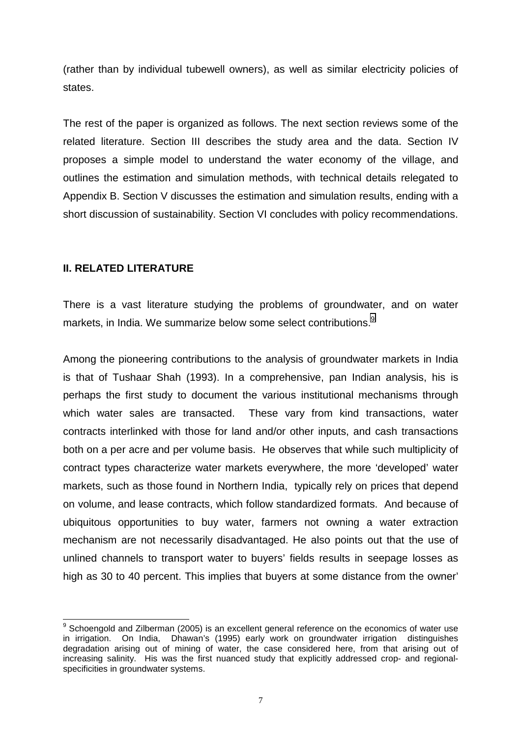(rather than by individual tubewell owners), as well as similar electricity policies of states.

The rest of the paper is organized as follows. The next section reviews some of the related literature. Section III describes the study area and the data. Section IV proposes a simple model to understand the water economy of the village, and outlines the estimation and simulation methods, with technical details relegated to Appendix B. Section V discusses the estimation and simulation results, ending with a short discussion of sustainability. Section VI concludes with policy recommendations.

## **II. RELATED LITERATURE**

 $\overline{a}$ 

There is a vast literature studying the problems of groundwater, and on water markets, in India. We summarize below some select contributions.<sup>9</sup>

Among the pioneering contributions to the analysis of groundwater markets in India is that of Tushaar Shah (1993). In a comprehensive, pan Indian analysis, his is perhaps the first study to document the various institutional mechanisms through which water sales are transacted. These vary from kind transactions, water contracts interlinked with those for land and/or other inputs, and cash transactions both on a per acre and per volume basis. He observes that while such multiplicity of contract types characterize water markets everywhere, the more 'developed' water markets, such as those found in Northern India, typically rely on prices that depend on volume, and lease contracts, which follow standardized formats. And because of ubiquitous opportunities to buy water, farmers not owning a water extraction mechanism are not necessarily disadvantaged. He also points out that the use of unlined channels to transport water to buyers' fields results in seepage losses as high as 30 to 40 percent. This implies that buyers at some distance from the owner'

<sup>&</sup>lt;sup>9</sup> Schoengold and Zilberman (2005) is an excellent general reference on the economics of water use in irrigation. On India, Dhawan's (1995) early work on groundwater irrigation distinguishes degradation arising out of mining of water, the case considered here, from that arising out of increasing salinity. His was the first nuanced study that explicitly addressed crop- and regionalspecificities in groundwater systems.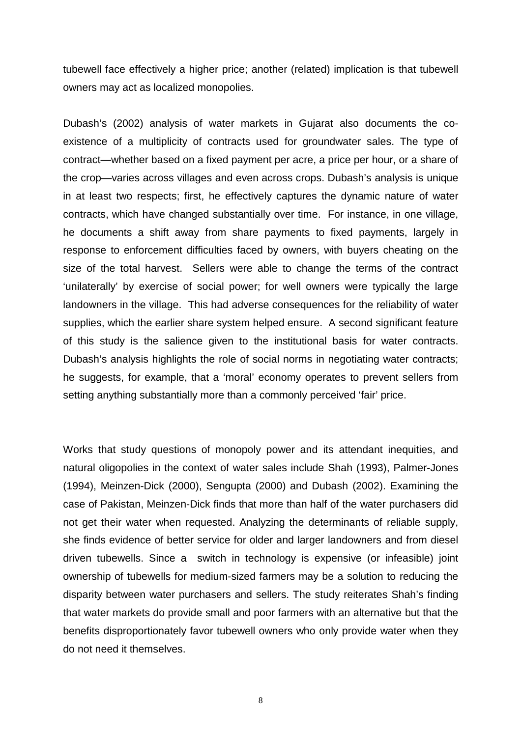tubewell face effectively a higher price; another (related) implication is that tubewell owners may act as localized monopolies.

Dubash's (2002) analysis of water markets in Gujarat also documents the coexistence of a multiplicity of contracts used for groundwater sales. The type of contract—whether based on a fixed payment per acre, a price per hour, or a share of the crop—varies across villages and even across crops. Dubash's analysis is unique in at least two respects; first, he effectively captures the dynamic nature of water contracts, which have changed substantially over time. For instance, in one village, he documents a shift away from share payments to fixed payments, largely in response to enforcement difficulties faced by owners, with buyers cheating on the size of the total harvest. Sellers were able to change the terms of the contract 'unilaterally' by exercise of social power; for well owners were typically the large landowners in the village. This had adverse consequences for the reliability of water supplies, which the earlier share system helped ensure. A second significant feature of this study is the salience given to the institutional basis for water contracts. Dubash's analysis highlights the role of social norms in negotiating water contracts; he suggests, for example, that a 'moral' economy operates to prevent sellers from setting anything substantially more than a commonly perceived 'fair' price.

Works that study questions of monopoly power and its attendant inequities, and natural oligopolies in the context of water sales include Shah (1993), Palmer-Jones (1994), Meinzen-Dick (2000), Sengupta (2000) and Dubash (2002). Examining the case of Pakistan, Meinzen-Dick finds that more than half of the water purchasers did not get their water when requested. Analyzing the determinants of reliable supply, she finds evidence of better service for older and larger landowners and from diesel driven tubewells. Since a switch in technology is expensive (or infeasible) joint ownership of tubewells for medium-sized farmers may be a solution to reducing the disparity between water purchasers and sellers. The study reiterates Shah's finding that water markets do provide small and poor farmers with an alternative but that the benefits disproportionately favor tubewell owners who only provide water when they do not need it themselves.

8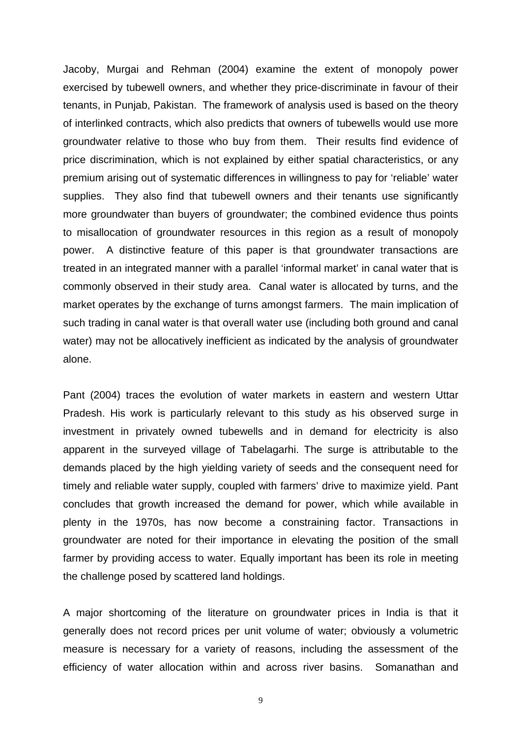Jacoby, Murgai and Rehman (2004) examine the extent of monopoly power exercised by tubewell owners, and whether they price-discriminate in favour of their tenants, in Punjab, Pakistan. The framework of analysis used is based on the theory of interlinked contracts, which also predicts that owners of tubewells would use more groundwater relative to those who buy from them. Their results find evidence of price discrimination, which is not explained by either spatial characteristics, or any premium arising out of systematic differences in willingness to pay for 'reliable' water supplies. They also find that tubewell owners and their tenants use significantly more groundwater than buyers of groundwater; the combined evidence thus points to misallocation of groundwater resources in this region as a result of monopoly power. A distinctive feature of this paper is that groundwater transactions are treated in an integrated manner with a parallel 'informal market' in canal water that is commonly observed in their study area. Canal water is allocated by turns, and the market operates by the exchange of turns amongst farmers. The main implication of such trading in canal water is that overall water use (including both ground and canal water) may not be allocatively inefficient as indicated by the analysis of groundwater alone.

Pant (2004) traces the evolution of water markets in eastern and western Uttar Pradesh. His work is particularly relevant to this study as his observed surge in investment in privately owned tubewells and in demand for electricity is also apparent in the surveyed village of Tabelagarhi. The surge is attributable to the demands placed by the high yielding variety of seeds and the consequent need for timely and reliable water supply, coupled with farmers' drive to maximize yield. Pant concludes that growth increased the demand for power, which while available in plenty in the 1970s, has now become a constraining factor. Transactions in groundwater are noted for their importance in elevating the position of the small farmer by providing access to water. Equally important has been its role in meeting the challenge posed by scattered land holdings.

A major shortcoming of the literature on groundwater prices in India is that it generally does not record prices per unit volume of water; obviously a volumetric measure is necessary for a variety of reasons, including the assessment of the efficiency of water allocation within and across river basins. Somanathan and

9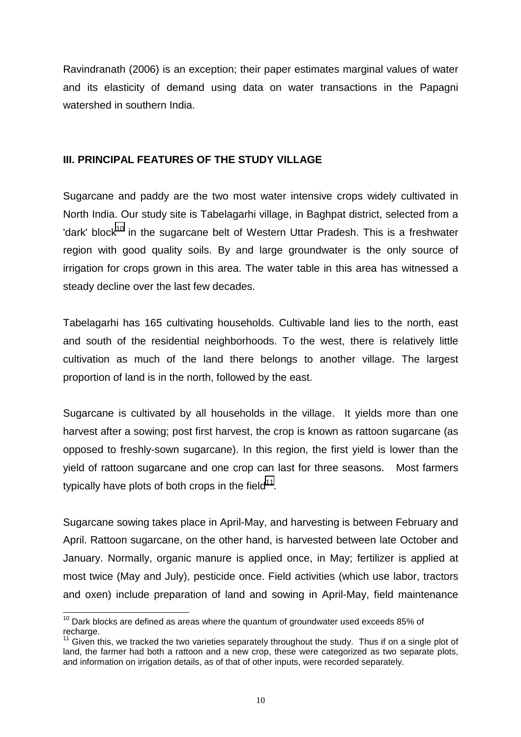Ravindranath (2006) is an exception; their paper estimates marginal values of water and its elasticity of demand using data on water transactions in the Papagni watershed in southern India.

## **III. PRINCIPAL FEATURES OF THE STUDY VILLAGE**

Sugarcane and paddy are the two most water intensive crops widely cultivated in North India. Our study site is Tabelagarhi village, in Baghpat district, selected from a 'dark' block<sup>10</sup> in the sugarcane belt of Western Uttar Pradesh. This is a freshwater region with good quality soils. By and large groundwater is the only source of irrigation for crops grown in this area. The water table in this area has witnessed a steady decline over the last few decades.

Tabelagarhi has 165 cultivating households. Cultivable land lies to the north, east and south of the residential neighborhoods. To the west, there is relatively little cultivation as much of the land there belongs to another village. The largest proportion of land is in the north, followed by the east.

Sugarcane is cultivated by all households in the village. It yields more than one harvest after a sowing; post first harvest, the crop is known as rattoon sugarcane (as opposed to freshly-sown sugarcane). In this region, the first yield is lower than the yield of rattoon sugarcane and one crop can last for three seasons. Most farmers typically have plots of both crops in the field $11$ .

Sugarcane sowing takes place in April-May, and harvesting is between February and April. Rattoon sugarcane, on the other hand, is harvested between late October and January. Normally, organic manure is applied once, in May; fertilizer is applied at most twice (May and July), pesticide once. Field activities (which use labor, tractors and oxen) include preparation of land and sowing in April-May, field maintenance

 $\overline{a}$  $10$  Dark blocks are defined as areas where the quantum of groundwater used exceeds 85% of recharge.

 $11$  Given this, we tracked the two varieties separately throughout the study. Thus if on a single plot of land, the farmer had both a rattoon and a new crop, these were categorized as two separate plots, and information on irrigation details, as of that of other inputs, were recorded separately.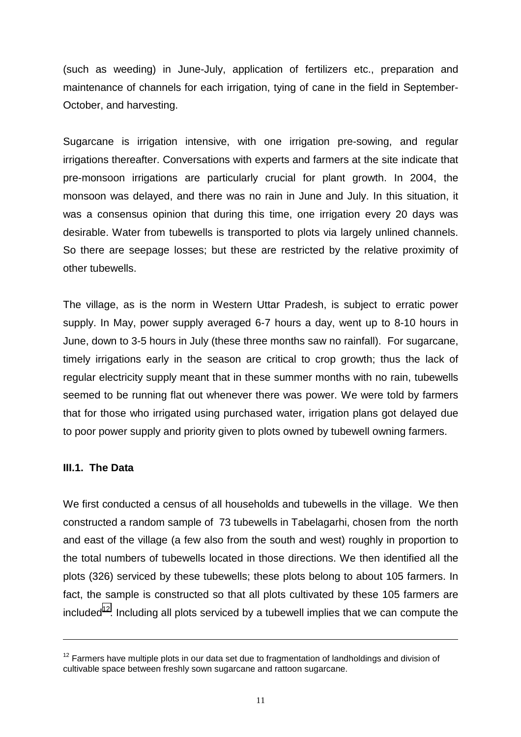(such as weeding) in June-July, application of fertilizers etc., preparation and maintenance of channels for each irrigation, tying of cane in the field in September-October, and harvesting.

Sugarcane is irrigation intensive, with one irrigation pre-sowing, and regular irrigations thereafter. Conversations with experts and farmers at the site indicate that pre-monsoon irrigations are particularly crucial for plant growth. In 2004, the monsoon was delayed, and there was no rain in June and July. In this situation, it was a consensus opinion that during this time, one irrigation every 20 days was desirable. Water from tubewells is transported to plots via largely unlined channels. So there are seepage losses; but these are restricted by the relative proximity of other tubewells.

The village, as is the norm in Western Uttar Pradesh, is subject to erratic power supply. In May, power supply averaged 6-7 hours a day, went up to 8-10 hours in June, down to 3-5 hours in July (these three months saw no rainfall). For sugarcane, timely irrigations early in the season are critical to crop growth; thus the lack of regular electricity supply meant that in these summer months with no rain, tubewells seemed to be running flat out whenever there was power. We were told by farmers that for those who irrigated using purchased water, irrigation plans got delayed due to poor power supply and priority given to plots owned by tubewell owning farmers.

## **III.1. The Data**

 $\overline{a}$ 

We first conducted a census of all households and tubewells in the village. We then constructed a random sample of 73 tubewells in Tabelagarhi, chosen from the north and east of the village (a few also from the south and west) roughly in proportion to the total numbers of tubewells located in those directions. We then identified all the plots (326) serviced by these tubewells; these plots belong to about 105 farmers. In fact, the sample is constructed so that all plots cultivated by these 105 farmers are included<sup>12</sup>. Including all plots serviced by a tubewell implies that we can compute the

 $12$  Farmers have multiple plots in our data set due to fragmentation of landholdings and division of cultivable space between freshly sown sugarcane and rattoon sugarcane.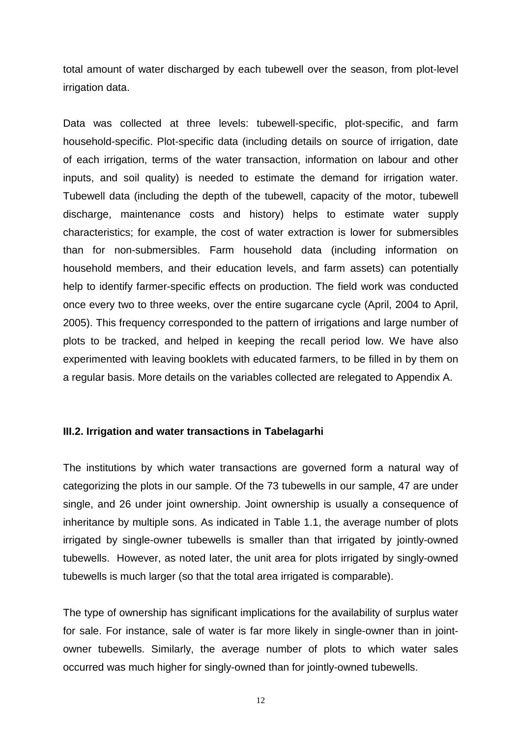total amount of water discharged by each tubewell over the season, from plot-level irrigation data.

Data was collected at three levels: tubewell-specific, plot-specific, and farm household-specific. Plot-specific data (including details on source of irrigation, date of each irrigation, terms of the water transaction, information on labour and other inputs, and soil quality) is needed to estimate the demand for irrigation water. Tubewell data (including the depth of the tubewell, capacity of the motor, tubewell discharge, maintenance costs and history) helps to estimate water supply characteristics; for example, the cost of water extraction is lower for submersibles than for non-submersibles. Farm household data (including information on household members, and their education levels, and farm assets) can potentially help to identify farmer-specific effects on production. The field work was conducted once every two to three weeks, over the entire sugarcane cycle (April, 2004 to April, 2005). This frequency corresponded to the pattern of irrigations and large number of plots to be tracked, and helped in keeping the recall period low. We have also experimented with leaving booklets with educated farmers, to be filled in by them on a regular basis. More details on the variables collected are relegated to Appendix A.

#### **III.2. Irrigation and water transactions in Tabelagarhi**

The institutions by which water transactions are governed form a natural way of categorizing the plots in our sample. Of the 73 tubewells in our sample, 47 are under single, and 26 under joint ownership. Joint ownership is usually a consequence of inheritance by multiple sons. As indicated in Table 1.1, the average number of plots irrigated by single-owner tubewells is smaller than that irrigated by jointly-owned tubewells. However, as noted later, the unit area for plots irrigated by singly-owned tubewells is much larger (so that the total area irrigated is comparable).

The type of ownership has significant implications for the availability of surplus water for sale. For instance, sale of water is far more likely in single-owner than in jointowner tubewells. Similarly, the average number of plots to which water sales occurred was much higher for singly-owned than for jointly-owned tubewells.

12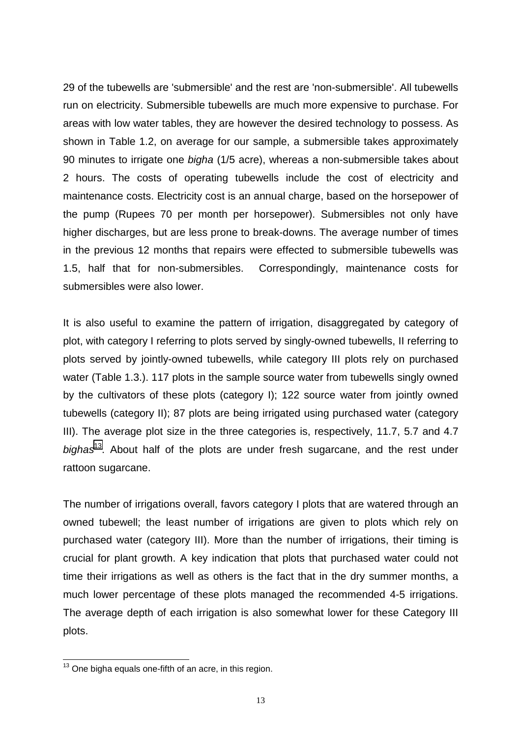29 of the tubewells are 'submersible' and the rest are 'non-submersible'. All tubewells run on electricity. Submersible tubewells are much more expensive to purchase. For areas with low water tables, they are however the desired technology to possess. As shown in Table 1.2, on average for our sample, a submersible takes approximately 90 minutes to irrigate one *bigha* (1/5 acre), whereas a non-submersible takes about 2 hours. The costs of operating tubewells include the cost of electricity and maintenance costs. Electricity cost is an annual charge, based on the horsepower of the pump (Rupees 70 per month per horsepower). Submersibles not only have higher discharges, but are less prone to break-downs. The average number of times in the previous 12 months that repairs were effected to submersible tubewells was 1.5, half that for non-submersibles. Correspondingly, maintenance costs for submersibles were also lower.

It is also useful to examine the pattern of irrigation, disaggregated by category of plot, with category I referring to plots served by singly-owned tubewells, II referring to plots served by jointly-owned tubewells, while category III plots rely on purchased water (Table 1.3.). 117 plots in the sample source water from tubewells singly owned by the cultivators of these plots (category I); 122 source water from jointly owned tubewells (category II); 87 plots are being irrigated using purchased water (category III). The average plot size in the three categories is, respectively, 11.7, 5.7 and 4.7 *bighas*13. About half of the plots are under fresh sugarcane, and the rest under rattoon sugarcane.

The number of irrigations overall, favors category I plots that are watered through an owned tubewell; the least number of irrigations are given to plots which rely on purchased water (category III). More than the number of irrigations, their timing is crucial for plant growth. A key indication that plots that purchased water could not time their irrigations as well as others is the fact that in the dry summer months, a much lower percentage of these plots managed the recommended 4-5 irrigations. The average depth of each irrigation is also somewhat lower for these Category III plots.

l

 $13$  One bigha equals one-fifth of an acre, in this region.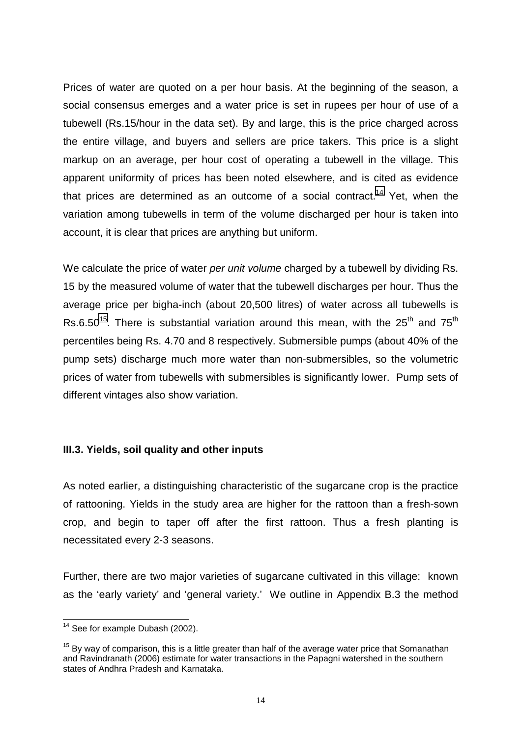Prices of water are quoted on a per hour basis. At the beginning of the season, a social consensus emerges and a water price is set in rupees per hour of use of a tubewell (Rs.15/hour in the data set). By and large, this is the price charged across the entire village, and buyers and sellers are price takers. This price is a slight markup on an average, per hour cost of operating a tubewell in the village. This apparent uniformity of prices has been noted elsewhere, and is cited as evidence that prices are determined as an outcome of a social contract.<sup>14</sup> Yet, when the variation among tubewells in term of the volume discharged per hour is taken into account, it is clear that prices are anything but uniform.

We calculate the price of water *per unit volume* charged by a tubewell by dividing Rs. 15 by the measured volume of water that the tubewell discharges per hour. Thus the average price per bigha-inch (about 20,500 litres) of water across all tubewells is Rs.6.50<sup>15</sup>. There is substantial variation around this mean, with the 25<sup>th</sup> and 75<sup>th</sup> percentiles being Rs. 4.70 and 8 respectively. Submersible pumps (about 40% of the pump sets) discharge much more water than non-submersibles, so the volumetric prices of water from tubewells with submersibles is significantly lower. Pump sets of different vintages also show variation.

## **III.3. Yields, soil quality and other inputs**

As noted earlier, a distinguishing characteristic of the sugarcane crop is the practice of rattooning. Yields in the study area are higher for the rattoon than a fresh-sown crop, and begin to taper off after the first rattoon. Thus a fresh planting is necessitated every 2-3 seasons.

Further, there are two major varieties of sugarcane cultivated in this village: known as the 'early variety' and 'general variety.' We outline in Appendix B.3 the method

 $\overline{a}$  $14$  See for example Dubash (2002).

 $15$  By way of comparison, this is a little greater than half of the average water price that Somanathan and Ravindranath (2006) estimate for water transactions in the Papagni watershed in the southern states of Andhra Pradesh and Karnataka.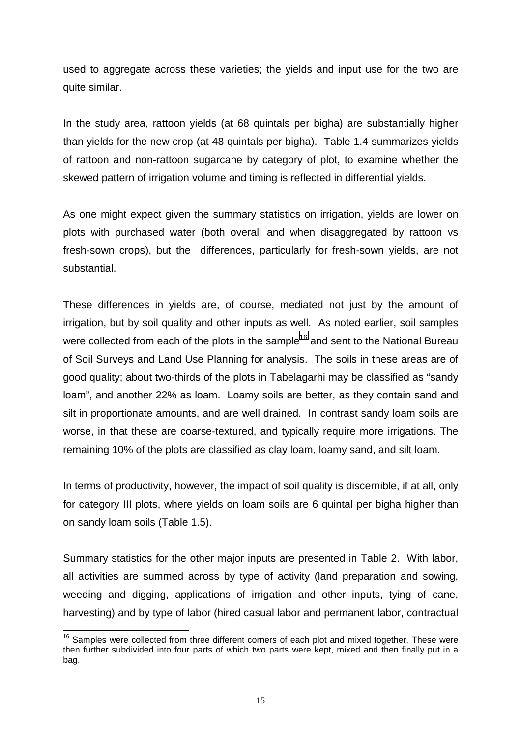used to aggregate across these varieties; the yields and input use for the two are quite similar.

In the study area, rattoon yields (at 68 quintals per bigha) are substantially higher than yields for the new crop (at 48 quintals per bigha). Table 1.4 summarizes yields of rattoon and non-rattoon sugarcane by category of plot, to examine whether the skewed pattern of irrigation volume and timing is reflected in differential yields.

As one might expect given the summary statistics on irrigation, yields are lower on plots with purchased water (both overall and when disaggregated by rattoon vs fresh-sown crops), but the differences, particularly for fresh-sown yields, are not substantial.

These differences in yields are, of course, mediated not just by the amount of irrigation, but by soil quality and other inputs as well. As noted earlier, soil samples were collected from each of the plots in the sample<sup>16</sup> and sent to the National Bureau of Soil Surveys and Land Use Planning for analysis. The soils in these areas are of good quality; about two-thirds of the plots in Tabelagarhi may be classified as "sandy loam", and another 22% as loam. Loamy soils are better, as they contain sand and silt in proportionate amounts, and are well drained. In contrast sandy loam soils are worse, in that these are coarse-textured, and typically require more irrigations. The remaining 10% of the plots are classified as clay loam, loamy sand, and silt loam.

In terms of productivity, however, the impact of soil quality is discernible, if at all, only for category III plots, where yields on loam soils are 6 quintal per bigha higher than on sandy loam soils (Table 1.5).

Summary statistics for the other major inputs are presented in Table 2. With labor, all activities are summed across by type of activity (land preparation and sowing, weeding and digging, applications of irrigation and other inputs, tying of cane, harvesting) and by type of labor (hired casual labor and permanent labor, contractual

l  $16$  Samples were collected from three different corners of each plot and mixed together. These were then further subdivided into four parts of which two parts were kept, mixed and then finally put in a bag.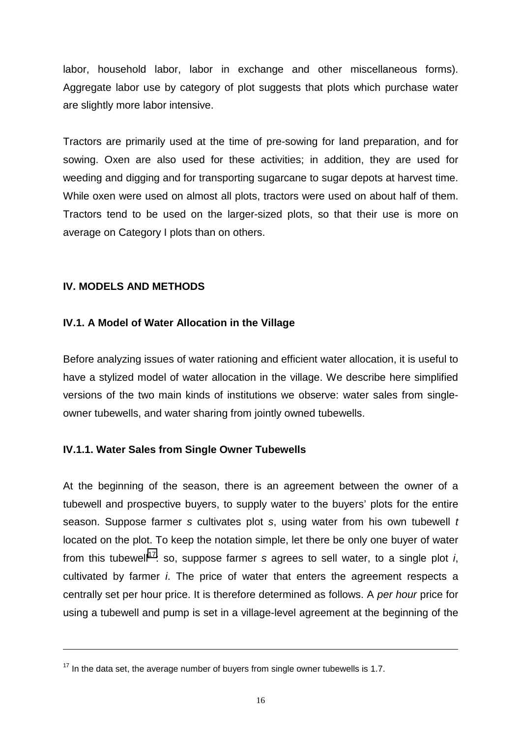labor, household labor, labor in exchange and other miscellaneous forms). Aggregate labor use by category of plot suggests that plots which purchase water are slightly more labor intensive.

Tractors are primarily used at the time of pre-sowing for land preparation, and for sowing. Oxen are also used for these activities; in addition, they are used for weeding and digging and for transporting sugarcane to sugar depots at harvest time. While oxen were used on almost all plots, tractors were used on about half of them. Tractors tend to be used on the larger-sized plots, so that their use is more on average on Category I plots than on others.

### **IV. MODELS AND METHODS**

 $\overline{a}$ 

### **IV.1. A Model of Water Allocation in the Village**

Before analyzing issues of water rationing and efficient water allocation, it is useful to have a stylized model of water allocation in the village. We describe here simplified versions of the two main kinds of institutions we observe: water sales from singleowner tubewells, and water sharing from jointly owned tubewells.

#### **IV.1.1. Water Sales from Single Owner Tubewells**

At the beginning of the season, there is an agreement between the owner of a tubewell and prospective buyers, to supply water to the buyers' plots for the entire season. Suppose farmer *s* cultivates plot *s*, using water from his own tubewell *t* located on the plot. To keep the notation simple, let there be only one buyer of water from this tubewell<sup>17</sup>: so, suppose farmer *s* agrees to sell water, to a single plot *i*, cultivated by farmer *i*. The price of water that enters the agreement respects a centrally set per hour price. It is therefore determined as follows. A *per hour* price for using a tubewell and pump is set in a village-level agreement at the beginning of the

 $17$  In the data set, the average number of buyers from single owner tubewells is 1.7.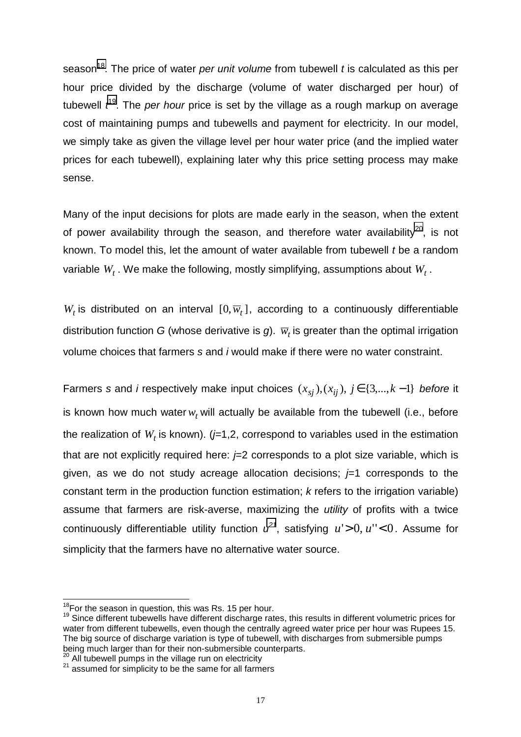season<sup>18</sup>. The price of water *per unit volume* from tubewell *t* is calculated as this per hour price divided by the discharge (volume of water discharged per hour) of tubewell *t* 19. The *per hour* price is set by the village as a rough markup on average cost of maintaining pumps and tubewells and payment for electricity. In our model, we simply take as given the village level per hour water price (and the implied water prices for each tubewell), explaining later why this price setting process may make sense.

Many of the input decisions for plots are made early in the season, when the extent of power availability through the season, and therefore water availability<sup>20</sup>, is not known. To model this, let the amount of water available from tubewell *t* be a random variable  $W_t$ . We make the following, mostly simplifying, assumptions about  $W_t$ .

 $W_t$  is distributed on an interval  $[0, \overline{w}_t]$ , according to a continuously differentiable distribution function *G* (whose derivative is *g*).  $\overline{w}_t$  is greater than the optimal irrigation volume choices that farmers *s* and *i* would make if there were no water constraint.

Farmers *s* and *i* respectively make input choices  $(x_{si})$ , $(x_{ii})$ ,  $j \in \{3,...,k-1\}$  *before* it is known how much water  $w_t$  will actually be available from the tubewell (i.e., before the realization of  $W_t$  is known). ( $j=1,2$ , correspond to variables used in the estimation that are not explicitly required here:  $\neq 2$  corresponds to a plot size variable, which is given, as we do not study acreage allocation decisions; *j*=1 corresponds to the constant term in the production function estimation; *k* refers to the irrigation variable) assume that farmers are risk-averse, maximizing the *utility* of profits with a twice continuously differentiable utility function  $u^{2}$ <sup>1</sup>, satisfying  $u' > 0$ ,  $u'' < 0$ . Assume for simplicity that the farmers have no alternative water source.

<sup>&</sup>lt;sup>18</sup>For the season in question, this was Rs. 15 per hour.

 $19$  Since different tubewells have different discharge rates, this results in different volumetric prices for water from different tubewells, even though the centrally agreed water price per hour was Rupees 15. The big source of discharge variation is type of tubewell, with discharges from submersible pumps being much larger than for their non-submersible counterparts.

<sup>&</sup>lt;sup>20</sup> All tubewell pumps in the village run on electricity<br><sup>21</sup> assumed for simplicity to be the same for all farmers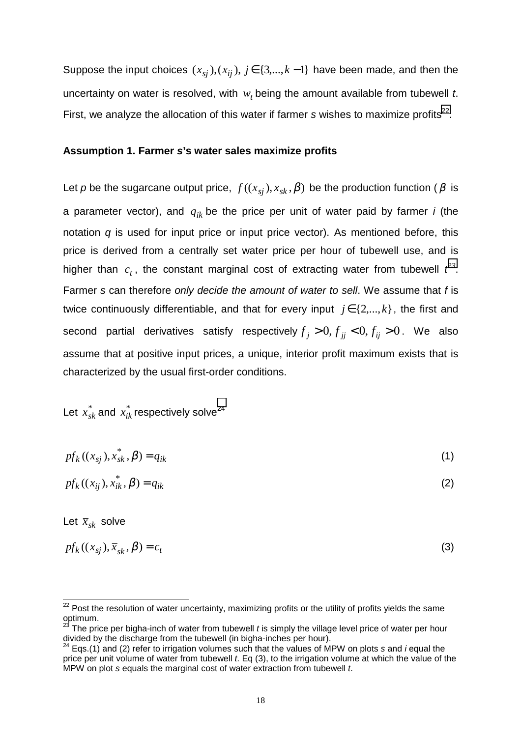Suppose the input choices  $(x_{si})$ ,  $(x_{ij})$ ,  $j \in \{3,...,k-1\}$  have been made, and then the uncertainty on water is resolved, with  $w_t$  being the amount available from tubewell *t*. First, we analyze the allocation of this water if farmer *s* wishes to maximize profits<sup>22</sup>.

#### **Assumption 1. Farmer** *s***'s water sales maximize profits**

Let *p* be the sugarcane output price,  $f((x_{si}), x_{sk}, \beta)$  be the production function ( $\beta$  is a parameter vector), and *qik* be the price per unit of water paid by farmer *i* (the notation *q* is used for input price or input price vector). As mentioned before, this price is derived from a centrally set water price per hour of tubewell use, and is higher than  $c_t$ , the constant marginal cost of extracting water from tubewell  $t^{23}$ . Farmer *s* can therefore *only decide the amount of water to sell*. We assume that *f* is twice continuously differentiable, and that for every input  $j \in \{2,...,k\}$ , the first and second partial derivatives satisfy respectively  $f_j > 0, f_{jj} < 0, f_{ij} > 0$ . We also assume that at positive input prices, a unique, interior profit maximum exists that is characterized by the usual first-order conditions.

# Let  $x_{sk}^*$  and  $x_{ik}^*$  respectively solve<sup>24</sup>

| $pf_k((x_{sj}), x_{sk}^*, \beta) = q_{ik}$ |  |
|--------------------------------------------|--|
|                                            |  |

$$
pf_k((x_{ij}), x_{ik}^*, \beta) = q_{ik}
$$
 (2)

Let  $\bar{x}_{sk}$  solve

l

$$
pf_k((x_{sj}), \overline{x}_{sk}, \beta) = c_t \tag{3}
$$

 $22$  Post the resolution of water uncertainty, maximizing profits or the utility of profits yields the same optimum.

The price per bigha-inch of water from tubewell *t* is simply the village level price of water per hour divided by the discharge from the tubewell (in bigha-inches per hour).

<sup>24</sup> Eqs.(1) and (2) refer to irrigation volumes such that the values of MPW on plots *s* and *i* equal the price per unit volume of water from tubewell *t*. Eq (3), to the irrigation volume at which the value of the MPW on plot *s* equals the marginal cost of water extraction from tubewell *t*.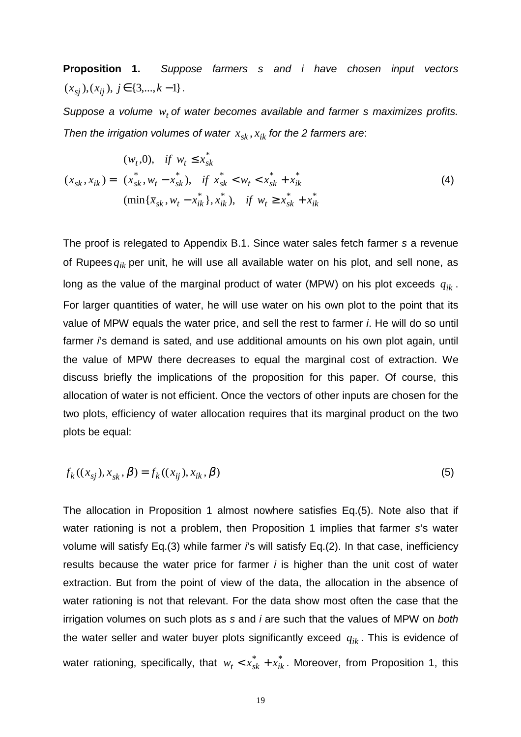**Proposition 1.** *Suppose farmers s and i have chosen input vectors*  $(x_{si}), (x_{ij}), j \in \{3,...,k-1\}$ .

Suppose a volume  $w_t$  of water becomes available and farmer s maximizes profits. *Then the irrigation volumes of water*  $x_{sk}$ ,  $x_{ik}$  for the 2 farmers are:

$$
(x_{sk}, x_{ik}) = \begin{cases} (w_t, 0), & \text{if } w_t \le x_{sk}^* \\ (x_{sk}^*, w_t - x_{sk}^*), & \text{if } x_{sk}^* < w_t < x_{sk}^* + x_{ik}^* \\ (\min\{\overline{x}_{sk}, w_t - x_{ik}^*\}, x_{ik}^*), & \text{if } w_t \ge x_{sk}^* + x_{ik}^* \end{cases} \tag{4}
$$

The proof is relegated to Appendix B.1. Since water sales fetch farmer *s* a revenue of Rupees *qik* per unit, he will use all available water on his plot, and sell none, as long as the value of the marginal product of water (MPW) on his plot exceeds *qik* . For larger quantities of water, he will use water on his own plot to the point that its value of MPW equals the water price, and sell the rest to farmer *i*. He will do so until farmer *i*'s demand is sated, and use additional amounts on his own plot again, until the value of MPW there decreases to equal the marginal cost of extraction. We discuss briefly the implications of the proposition for this paper. Of course, this allocation of water is not efficient. Once the vectors of other inputs are chosen for the two plots, efficiency of water allocation requires that its marginal product on the two plots be equal:

$$
f_k((x_{sj}), x_{sk}, \beta) = f_k((x_{ij}), x_{ik}, \beta)
$$
\n(5)

The allocation in Proposition 1 almost nowhere satisfies Eq.(5). Note also that if water rationing is not a problem, then Proposition 1 implies that farmer *s*'s water volume will satisfy Eq.(3) while farmer *i*'s will satisfy Eq.(2). In that case, inefficiency results because the water price for farmer *i* is higher than the unit cost of water extraction. But from the point of view of the data, the allocation in the absence of water rationing is not that relevant. For the data show most often the case that the irrigation volumes on such plots as *s* and *i* are such that the values of MPW on *both* the water seller and water buyer plots significantly exceed *qik* . This is evidence of water rationing, specifically, that  $w_t < x_{sk}^* + x_{ik}^*$ . Moreover, from Proposition 1, this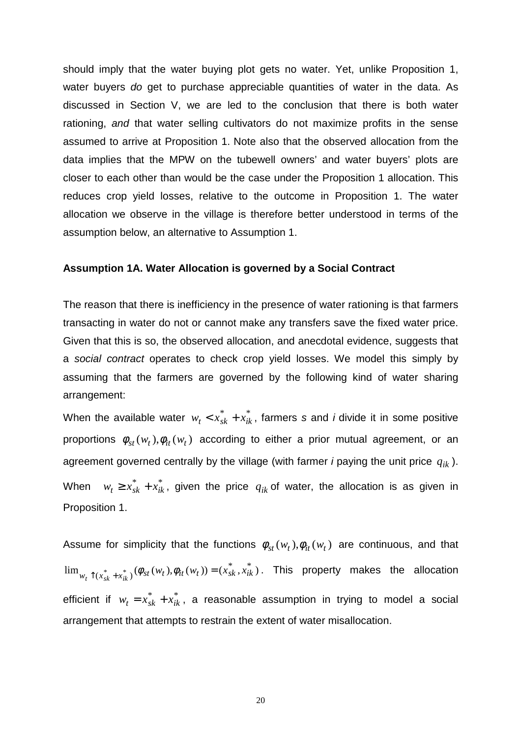should imply that the water buying plot gets no water. Yet, unlike Proposition 1, water buyers *do* get to purchase appreciable quantities of water in the data. As discussed in Section V, we are led to the conclusion that there is both water rationing, *and* that water selling cultivators do not maximize profits in the sense assumed to arrive at Proposition 1. Note also that the observed allocation from the data implies that the MPW on the tubewell owners' and water buyers' plots are closer to each other than would be the case under the Proposition 1 allocation. This reduces crop yield losses, relative to the outcome in Proposition 1. The water allocation we observe in the village is therefore better understood in terms of the assumption below, an alternative to Assumption 1.

#### **Assumption 1A. Water Allocation is governed by a Social Contract**

The reason that there is inefficiency in the presence of water rationing is that farmers transacting in water do not or cannot make any transfers save the fixed water price. Given that this is so, the observed allocation, and anecdotal evidence, suggests that a *social contract* operates to check crop yield losses. We model this simply by assuming that the farmers are governed by the following kind of water sharing arrangement:

When the available water  $w_t < x_{sk}^* + x_{ik}^*$ , farmers *s* and *i* divide it in some positive proportions  $\phi_{st}(w_t), \phi_{it}(w_t)$  according to either a prior mutual agreement, or an agreement governed centrally by the village (with farmer *i* paying the unit price *qik* ). When  $w_t \ge x_{sk}^* + x_{ik}^*$ , given the price  $q_{ik}$  of water, the allocation is as given in Proposition 1.

Assume for simplicity that the functions  $\phi_{st}(w_t)$ ,  $\phi_{it}(w_t)$  are continuous, and that  $\lim_{w_t \uparrow (x_{sk}^* + x_{ik}^*)} (\phi_{st}(w_t), \phi_{it}(w_t)) = (x_{sk}^*, x_{ik}^*)$ . This property makes the allocation efficient if  $w_t = x_{sk}^* + x_{ik}^*$ , a reasonable assumption in trying to model a social arrangement that attempts to restrain the extent of water misallocation.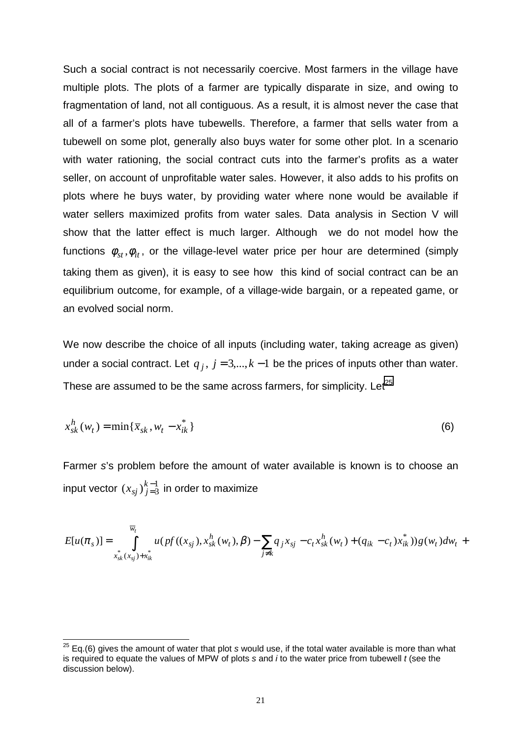Such a social contract is not necessarily coercive. Most farmers in the village have multiple plots. The plots of a farmer are typically disparate in size, and owing to fragmentation of land, not all contiguous. As a result, it is almost never the case that all of a farmer's plots have tubewells. Therefore, a farmer that sells water from a tubewell on some plot, generally also buys water for some other plot. In a scenario with water rationing, the social contract cuts into the farmer's profits as a water seller, on account of unprofitable water sales. However, it also adds to his profits on plots where he buys water, by providing water where none would be available if water sellers maximized profits from water sales. Data analysis in Section V will show that the latter effect is much larger. Although we do not model how the functions  $\phi_{st}$ ,  $\phi_{it}$ , or the village-level water price per hour are determined (simply taking them as given), it is easy to see how this kind of social contract can be an equilibrium outcome, for example, of a village-wide bargain, or a repeated game, or an evolved social norm.

We now describe the choice of all inputs (including water, taking acreage as given) under a social contract. Let  $q_i$ ,  $j = 3,..., k - 1$  be the prices of inputs other than water. These are assumed to be the same across farmers, for simplicity.  $Let^{25}$ 

$$
x_{sk}^h(w_t) = \min\{\bar{x}_{sk}, w_t - x_{ik}^*\}\tag{6}
$$

Farmer *s*'s problem before the amount of water available is known is to choose an input vector  $(x_{sj})_{j=3}^{k-1}$  $\left(x_{sj}\right)_{j=3}^{k-1}$  in order to maximize

$$
E[u(\pi_s)] = \int_{x_{sk}^*(x_{sj}) + x_{ik}^*}^{\overline{w}_t} u(pt((x_{sj}), x_{sk}^h(w_t), \beta) - \sum_{j \neq k} q_j x_{sj} - c_t x_{sk}^h(w_t) + (q_{ik} - c_t x_{ik}^*) )g(w_t)dw_t +
$$

 $\overline{a}$ 

<sup>25</sup> Eq.(6) gives the amount of water that plot *s* would use, if the total water available is more than what is required to equate the values of MPW of plots *s* and *i* to the water price from tubewell *t* (see the discussion below).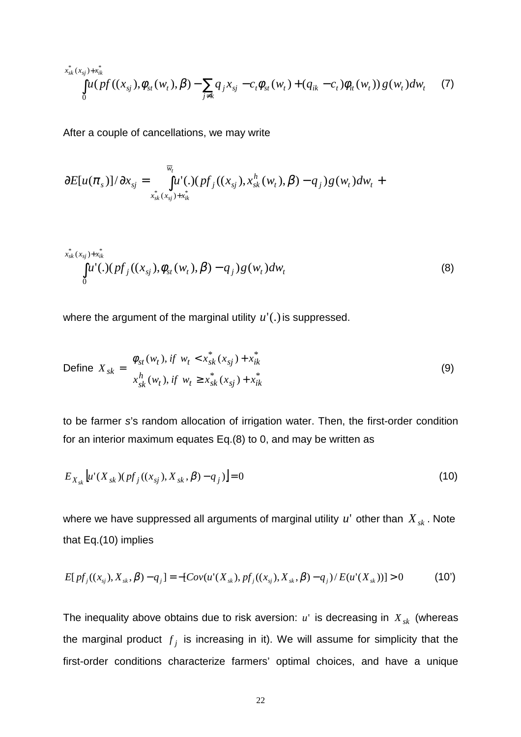$$
\int_{0}^{x_{sk}^{*}(x_{sj})+x_{ik}^{*}} \int_{0}^{u_{sk}(x_{sj})} (v_{st}(w_{t}),\beta) - \sum_{j\neq k} q_{j}x_{sj} - c_{t}\phi_{st}(w_{t}) + (q_{ik} - c_{t})\phi_{it}(w_{t})) g(w_{t})dw_{t}
$$
 (7)

After a couple of cancellations, we may write

$$
\frac{\partial E[u(\pi_{s})]/\partial x_{sj}}{\partial x_{sk}(x_{sj}) + x_{ik}^{*}} = \int_{x_{sk}^{*}}^{w_{t}} u'(.)(pf_{j}((x_{sj}), x_{sk}^{h}(w_{t}), \beta) - q_{j})g(w_{t})dw_{t} +
$$

$$
\int_{0}^{x_{sk}^{*}(x_{sj})+x_{ik}^{*}} \int_{0}^{u^{*}} (x_{sj}), \phi_{st}(w_{t}), \beta) - q_{j} g(w_{t}) dw_{t}
$$
\n(8)

where the argument of the marginal utility  $u'$ .) is suppressed.

Define 
$$
X_{sk} = \begin{cases} \phi_{st}(w_t), & \text{if } w_t < x_{sk}^*(x_{sj}) + x_{ik}^* \\ x_{sk}^h(w_t), & \text{if } w_t \ge x_{sk}^*(x_{sj}) + x_{ik}^* \end{cases}
$$
 (9)

to be farmer *s*'s random allocation of irrigation water. Then, the first-order condition for an interior maximum equates Eq.(8) to 0, and may be written as

$$
E_{X_{sk}}\left[u'(X_{sk})(pf_j((x_{sj}),X_{sk},\beta)-q_j)\right]=0
$$
\n(10)

where we have suppressed all arguments of marginal utility  $u'$  other than  $X_{sk}$ . Note that Eq.(10) implies

$$
E[pf_j((x_{s_j}), X_{sk}, \beta) - q_j] = -[Cov(u'(X_{sk}), pf_j((x_{s_j}), X_{sk}, \beta) - q_j)/E(u'(X_{sk}))] > 0
$$
 (10')

The inequality above obtains due to risk aversion: *u*' is decreasing in *X sk* (whereas the marginal product  $f_j$  is increasing in it). We will assume for simplicity that the first-order conditions characterize farmers' optimal choices, and have a unique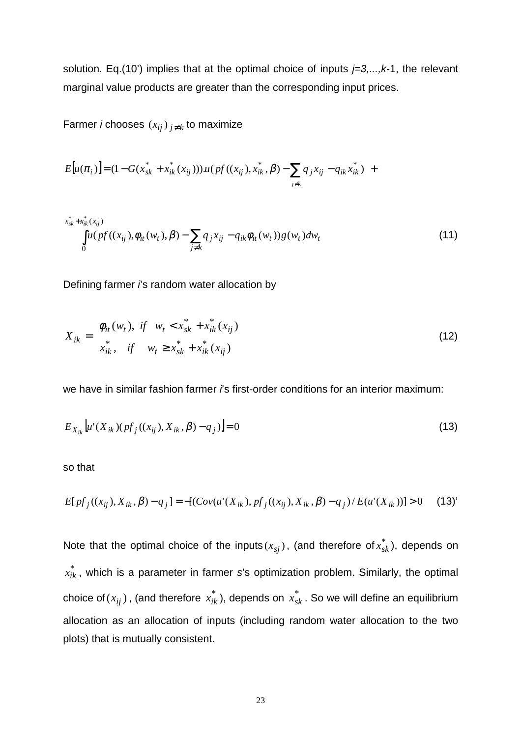solution. Eq.(10') implies that at the optimal choice of inputs *j=3,...,k-*1, the relevant marginal value products are greater than the corresponding input prices.

Farmer *i* chooses  $(x_{ij})_{j \neq k}$  to maximize

$$
E[u(\pi_i)] = (1 - G(x_{sk}^* + x_{ik}^*(x_{ij})))u(pf((x_{ij}), x_{ik}^*, \beta) - \sum_{j \neq k} q_j x_{ij} - q_{ik} x_{ik}^*) +
$$

$$
\int_{0}^{x_{sk}^{*}+x_{ik}^{*}(x_{ij})} \int_{0}^{u(pf((x_{ij}),\phi_{it}(w_t),\beta)-\sum_{j\neq k}q_jx_{ij}-q_{ik}\phi_{it}(w_t))g(w_t)dw_t
$$
\n(11)

Defining farmer *i*'s random water allocation by

$$
X_{ik} = \begin{cases} \phi_{it}(w_t), & \text{if } w_t < x_{sk}^* + x_{ik}^*(x_{ij}) \\ x_{ik}^*, & \text{if } w_t \ge x_{sk}^* + x_{ik}^*(x_{ij}) \end{cases} \tag{12}
$$

we have in similar fashion farmer *i*'s first-order conditions for an interior maximum:

$$
E_{X_{ik}}\left[u'(X_{ik})(pf_j((x_{ij}),X_{ik},\beta)-q_j)\right]=0
$$
\n(13)

so that

$$
E[pf_j((x_{ij}), X_{ik}, \beta) - q_j] = -[(Cov(u'(X_{ik}), pf_j((x_{ij}), X_{ik}, \beta) - q_j) / E(u'(X_{ik}))] > 0 \quad (13)
$$

Note that the optimal choice of the inputs $(x_{sj})$ , (and therefore of $x_{sk}^*$ ), depends on  $x_{ik}^*$  , which is a parameter in farmer *s*'s optimization problem. Similarly, the optimal choice of $(x_{ij})$  , (and therefore  $\ x_{ik}^*$  ), depends on  $\ x_{sk}^*$  . So we will define an equilibrium allocation as an allocation of inputs (including random water allocation to the two plots) that is mutually consistent.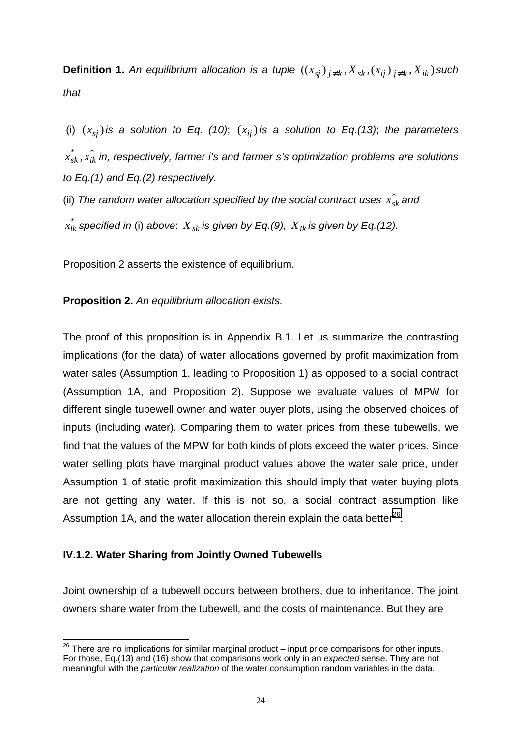**Definition 1.** An equilibrium allocation is a tuple  $((x_{si})_{i\neq k}, X_{sk}, (x_{ij})_{i\neq k}, X_{ik})$  such *that*

(i)  $(x_{si})$  *is a solution to Eq. (10)*;  $(x_{ii})$  *is a solution to Eq.(13)*; *the parameters*  $x_{sk}^*$ ,  $x_{ik}^*$  in, respectively, farmer i's and farmer s's optimization problems are solutions *to Eq.(1) and Eq.(2) respectively.*

(ii) The random water allocation specified by the social contract uses  $\vec{x_{sk}}$  and

 $x^*_{ik}$  specified in (i) above:  $\,X_{\:}$  is given by Eq.(9),  $\,X_{\,ik}$  is given by Eq.(12).

Proposition 2 asserts the existence of equilibrium.

### **Proposition 2.** *An equilibrium allocation exists.*

The proof of this proposition is in Appendix B.1. Let us summarize the contrasting implications (for the data) of water allocations governed by profit maximization from water sales (Assumption 1, leading to Proposition 1) as opposed to a social contract (Assumption 1A, and Proposition 2). Suppose we evaluate values of MPW for different single tubewell owner and water buyer plots, using the observed choices of inputs (including water). Comparing them to water prices from these tubewells, we find that the values of the MPW for both kinds of plots exceed the water prices. Since water selling plots have marginal product values above the water sale price, under Assumption 1 of static profit maximization this should imply that water buying plots are not getting any water. If this is not so, a social contract assumption like Assumption 1A, and the water allocation therein explain the data better<sup>26</sup>.

## **IV.1.2. Water Sharing from Jointly Owned Tubewells**

 $\overline{a}$ 

Joint ownership of a tubewell occurs between brothers, due to inheritance. The joint owners share water from the tubewell, and the costs of maintenance. But they are

 $^{26}$  There are no implications for similar marginal product – input price comparisons for other inputs. For those, Eq.(13) and (16) show that comparisons work only in an *expected* sense. They are not meaningful with the *particular realization* of the water consumption random variables in the data.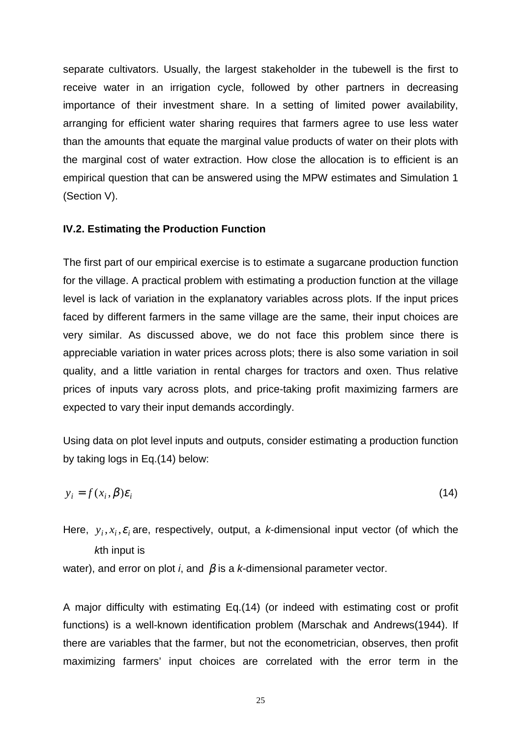separate cultivators. Usually, the largest stakeholder in the tubewell is the first to receive water in an irrigation cycle, followed by other partners in decreasing importance of their investment share. In a setting of limited power availability, arranging for efficient water sharing requires that farmers agree to use less water than the amounts that equate the marginal value products of water on their plots with the marginal cost of water extraction. How close the allocation is to efficient is an empirical question that can be answered using the MPW estimates and Simulation 1 (Section V).

#### **IV.2. Estimating the Production Function**

The first part of our empirical exercise is to estimate a sugarcane production function for the village. A practical problem with estimating a production function at the village level is lack of variation in the explanatory variables across plots. If the input prices faced by different farmers in the same village are the same, their input choices are very similar. As discussed above, we do not face this problem since there is appreciable variation in water prices across plots; there is also some variation in soil quality, and a little variation in rental charges for tractors and oxen. Thus relative prices of inputs vary across plots, and price-taking profit maximizing farmers are expected to vary their input demands accordingly.

Using data on plot level inputs and outputs, consider estimating a production function by taking logs in Eq.(14) below:

$$
y_i = f(x_i, \beta)\varepsilon_i \tag{14}
$$

Here,  $y_i, x_i, \varepsilon$  are, respectively, output, a *k*-dimensional input vector (of which the *k*th input is

water), and error on plot *i*, and β is a *k*-dimensional parameter vector.

A major difficulty with estimating Eq.(14) (or indeed with estimating cost or profit functions) is a well-known identification problem (Marschak and Andrews(1944). If there are variables that the farmer, but not the econometrician, observes, then profit maximizing farmers' input choices are correlated with the error term in the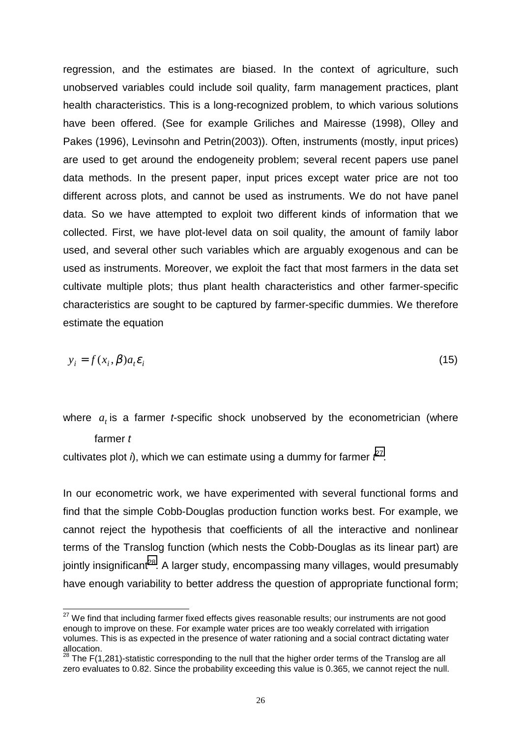regression, and the estimates are biased. In the context of agriculture, such unobserved variables could include soil quality, farm management practices, plant health characteristics. This is a long-recognized problem, to which various solutions have been offered. (See for example Griliches and Mairesse (1998), Olley and Pakes (1996), Levinsohn and Petrin(2003)). Often, instruments (mostly, input prices) are used to get around the endogeneity problem; several recent papers use panel data methods. In the present paper, input prices except water price are not too different across plots, and cannot be used as instruments. We do not have panel data. So we have attempted to exploit two different kinds of information that we collected. First, we have plot-level data on soil quality, the amount of family labor used, and several other such variables which are arguably exogenous and can be used as instruments. Moreover, we exploit the fact that most farmers in the data set cultivate multiple plots; thus plant health characteristics and other farmer-specific characteristics are sought to be captured by farmer-specific dummies. We therefore estimate the equation

$$
y_i = f(x_i, \beta) a_i \varepsilon_i \tag{15}
$$

where  $a_t$  is a farmer *t*-specific shock unobserved by the econometrician (where farmer *t*

cultivates plot  $\hat{\theta}$ , which we can estimate using a dummy for farmer  $\hat{\ell}^2$ .

 $\overline{a}$ 

In our econometric work, we have experimented with several functional forms and find that the simple Cobb-Douglas production function works best. For example, we cannot reject the hypothesis that coefficients of all the interactive and nonlinear terms of the Translog function (which nests the Cobb-Douglas as its linear part) are jointly insignificant<sup>28</sup>. A larger study, encompassing many villages, would presumably have enough variability to better address the question of appropriate functional form;

 $^{27}$  We find that including farmer fixed effects gives reasonable results; our instruments are not good enough to improve on these. For example water prices are too weakly correlated with irrigation volumes. This is as expected in the presence of water rationing and a social contract dictating water allocation.

 $^{28}$  The F(1,281)-statistic corresponding to the null that the higher order terms of the Translog are all zero evaluates to 0.82. Since the probability exceeding this value is 0.365, we cannot reject the null.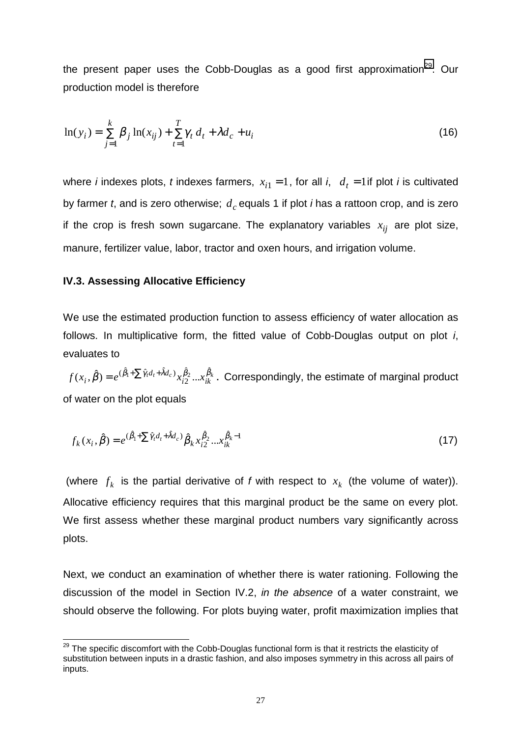the present paper uses the Cobb-Douglas as a good first approximation<sup>29</sup>. Our production model is therefore

$$
\ln(y_i) = \sum_{j=1}^k \beta_j \ln(x_{ij}) + \sum_{t=1}^T \gamma_t d_t + \lambda d_c + u_i
$$
\n(16)

where *i* indexes plots, *t* indexes farmers,  $x_{i1} = 1$ , for all *i*,  $d_t = 1$  if plot *i* is cultivated by farmer *t*, and is zero otherwise;  $d_c$  equals 1 if plot *i* has a rattoon crop, and is zero if the crop is fresh sown sugarcane. The explanatory variables  $x_{ij}$  are plot size, manure, fertilizer value, labor, tractor and oxen hours, and irrigation volume.

#### **IV.3. Assessing Allocative Efficiency**

 $\overline{a}$ 

We use the estimated production function to assess efficiency of water allocation as follows. In multiplicative form, the fitted value of Cobb-Douglas output on plot *i*, evaluates to

 $x_{i}^{a_{t}+na_{c}}$ ,  $x_{i2}^{p_{2}}$ ,  $\ldots$  $x_{ik}^{p_{k}}$  $f(x_i,\hat\beta)=e^{(\hat\beta_l+\sum \hat\gamma_r d_t+\hat\lambda d_c)}x^{\hat\beta_2}_{i2}...x^{\hat\beta_k}_{ik}$  . Correspondingly, the estimate of marginal product of water on the plot equals

$$
f_k(x_i, \hat{\beta}) = e^{(\hat{\beta}_1 + \sum \hat{\gamma}_i d_i + \hat{\lambda} d_c)} \hat{\beta}_k x_{i2}^{\hat{\beta}_2} \dots x_{ik}^{\hat{\beta}_k - 1}
$$
(17)

(where  $f_k$  is the partial derivative of *f* with respect to  $x_k$  (the volume of water)). Allocative efficiency requires that this marginal product be the same on every plot. We first assess whether these marginal product numbers vary significantly across plots.

Next, we conduct an examination of whether there is water rationing. Following the discussion of the model in Section IV.2, *in the absence* of a water constraint, we should observe the following. For plots buying water, profit maximization implies that

 $^{29}$  The specific discomfort with the Cobb-Douglas functional form is that it restricts the elasticity of substitution between inputs in a drastic fashion, and also imposes symmetry in this across all pairs of inputs.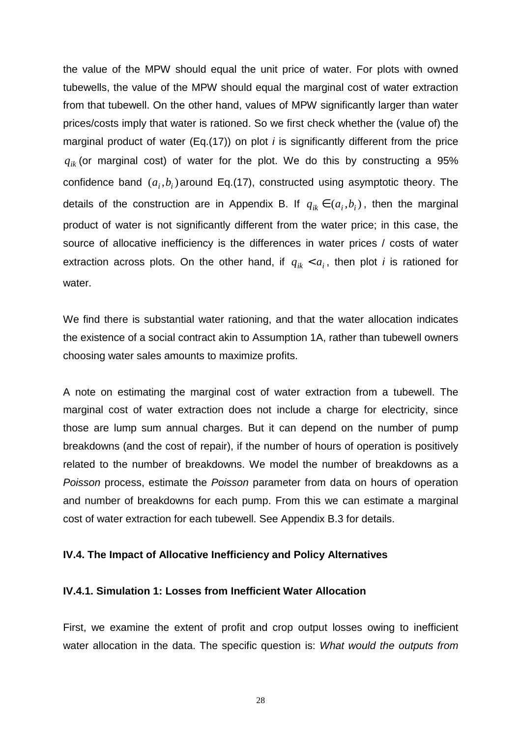the value of the MPW should equal the unit price of water. For plots with owned tubewells, the value of the MPW should equal the marginal cost of water extraction from that tubewell. On the other hand, values of MPW significantly larger than water prices/costs imply that water is rationed. So we first check whether the (value of) the marginal product of water (Eq.(17)) on plot *i* is significantly different from the price  $q_{ik}$  (or marginal cost) of water for the plot. We do this by constructing a 95% confidence band  $(a_i, b_i)$  around Eq.(17), constructed using asymptotic theory. The details of the construction are in Appendix B. If  $q_{ik} \in (a_i, b_i)$ , then the marginal product of water is not significantly different from the water price; in this case, the source of allocative inefficiency is the differences in water prices / costs of water extraction across plots. On the other hand, if  $q_{ik} < a_i$ , then plot *i* is rationed for water.

We find there is substantial water rationing, and that the water allocation indicates the existence of a social contract akin to Assumption 1A, rather than tubewell owners choosing water sales amounts to maximize profits.

A note on estimating the marginal cost of water extraction from a tubewell. The marginal cost of water extraction does not include a charge for electricity, since those are lump sum annual charges. But it can depend on the number of pump breakdowns (and the cost of repair), if the number of hours of operation is positively related to the number of breakdowns. We model the number of breakdowns as a *Poisson* process, estimate the *Poisson* parameter from data on hours of operation and number of breakdowns for each pump. From this we can estimate a marginal cost of water extraction for each tubewell. See Appendix B.3 for details.

## **IV.4. The Impact of Allocative Inefficiency and Policy Alternatives**

## **IV.4.1. Simulation 1: Losses from Inefficient Water Allocation**

First, we examine the extent of profit and crop output losses owing to inefficient water allocation in the data. The specific question is: *What would the outputs from*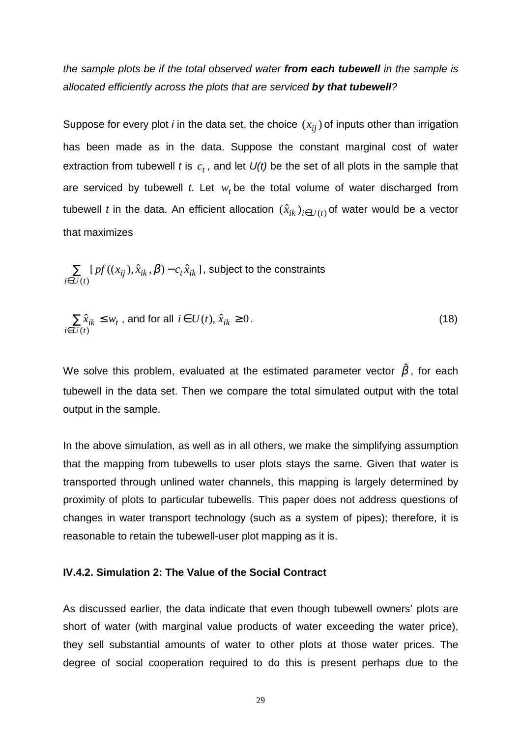*the sample plots be if the total observed water from each tubewell in the sample is allocated efficiently across the plots that are serviced by that tubewell?*

Suppose for every plot *i* in the data set, the choice  $(x_{ij})$  of inputs other than irrigation has been made as in the data. Suppose the constant marginal cost of water extraction from tubewell *t* is  $c_t$ , and let  $U(t)$  be the set of all plots in the sample that are serviced by tubewell  $t$ . Let  $w_t$  be the total volume of water discharged from tubewell *t* in the data. An efficient allocation  $(\hat{x}_{ik})_{i \in U(t)}$  of water would be a vector that maximizes

∑ ∈ −  $(t)$  $[ p f((x_{ii}), \hat{x}_{ik}, \beta) - c_t \hat{x}_{ik} ]$  $i \in U(t)$  $p f((x_{ij}), \hat{x}_{ik}, \boldsymbol{\beta})$  –  $c_t \hat{x}_{ik}$  ] , subject to the constraints

$$
\sum_{i \in U(t)} \hat{x}_{ik} \le w_t, \text{ and for all } i \in U(t), \hat{x}_{ik} \ge 0.
$$
\n(18)

We solve this problem, evaluated at the estimated parameter vector  $\hat{\beta}$ , for each tubewell in the data set. Then we compare the total simulated output with the total output in the sample.

In the above simulation, as well as in all others, we make the simplifying assumption that the mapping from tubewells to user plots stays the same. Given that water is transported through unlined water channels, this mapping is largely determined by proximity of plots to particular tubewells. This paper does not address questions of changes in water transport technology (such as a system of pipes); therefore, it is reasonable to retain the tubewell-user plot mapping as it is.

#### **IV.4.2. Simulation 2: The Value of the Social Contract**

As discussed earlier, the data indicate that even though tubewell owners' plots are short of water (with marginal value products of water exceeding the water price), they sell substantial amounts of water to other plots at those water prices. The degree of social cooperation required to do this is present perhaps due to the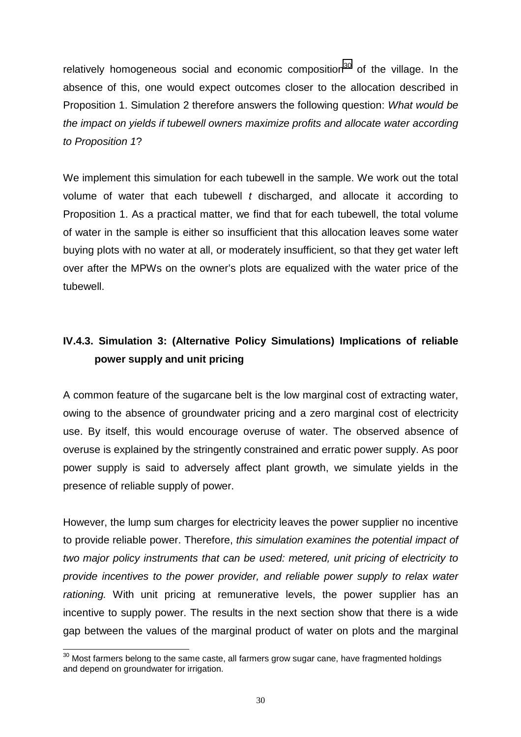relatively homogeneous social and economic composition<sup>30</sup> of the village. In the absence of this, one would expect outcomes closer to the allocation described in Proposition 1. Simulation 2 therefore answers the following question: *What would be the impact on yields if tubewell owners maximize profits and allocate water according to Proposition 1*?

We implement this simulation for each tubewell in the sample. We work out the total volume of water that each tubewell *t* discharged, and allocate it according to Proposition 1. As a practical matter, we find that for each tubewell, the total volume of water in the sample is either so insufficient that this allocation leaves some water buying plots with no water at all, or moderately insufficient, so that they get water left over after the MPWs on the owner's plots are equalized with the water price of the tubewell.

# **IV.4.3. Simulation 3: (Alternative Policy Simulations) Implications of reliable power supply and unit pricing**

A common feature of the sugarcane belt is the low marginal cost of extracting water, owing to the absence of groundwater pricing and a zero marginal cost of electricity use. By itself, this would encourage overuse of water. The observed absence of overuse is explained by the stringently constrained and erratic power supply. As poor power supply is said to adversely affect plant growth, we simulate yields in the presence of reliable supply of power.

However, the lump sum charges for electricity leaves the power supplier no incentive to provide reliable power. Therefore, *this simulation examines the potential impact of two major policy instruments that can be used: metered, unit pricing of electricity to provide incentives to the power provider, and reliable power supply to relax water rationing.* With unit pricing at remunerative levels, the power supplier has an incentive to supply power. The results in the next section show that there is a wide gap between the values of the marginal product of water on plots and the marginal

 $\overline{a}$  $^{\rm 30}$  Most farmers belong to the same caste, all farmers grow sugar cane, have fragmented holdings and depend on groundwater for irrigation.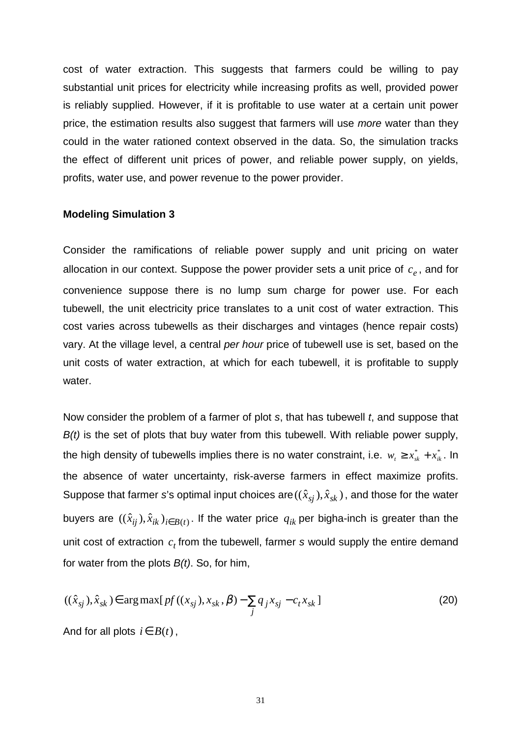cost of water extraction. This suggests that farmers could be willing to pay substantial unit prices for electricity while increasing profits as well, provided power is reliably supplied. However, if it is profitable to use water at a certain unit power price, the estimation results also suggest that farmers will use *more* water than they could in the water rationed context observed in the data. So, the simulation tracks the effect of different unit prices of power, and reliable power supply, on yields, profits, water use, and power revenue to the power provider.

#### **Modeling Simulation 3**

Consider the ramifications of reliable power supply and unit pricing on water allocation in our context. Suppose the power provider sets a unit price of  $c<sub>e</sub>$ , and for convenience suppose there is no lump sum charge for power use. For each tubewell, the unit electricity price translates to a unit cost of water extraction. This cost varies across tubewells as their discharges and vintages (hence repair costs) vary. At the village level, a central *per hour* price of tubewell use is set, based on the unit costs of water extraction, at which for each tubewell, it is profitable to supply water.

Now consider the problem of a farmer of plot *s*, that has tubewell *t*, and suppose that *B(t)* is the set of plots that buy water from this tubewell. With reliable power supply, the high density of tubewells implies there is no water constraint, i.e.  $w_{_t}\geq x_{_{sk}}^*+x_{_{ik}}^*$ . In the absence of water uncertainty, risk-averse farmers in effect maximize profits. Suppose that farmer *s*'s optimal input choices are  $((\hat{x}_{si}), \hat{x}_{sk})$ , and those for the water buyers are  $((\hat{x}_{ij}), \hat{x}_{ik})_{i \in B(t)}$ . If the water price  $q_{ik}$  per bigha-inch is greater than the unit cost of extraction  $c_t$  from the tubewell, farmer *s* would supply the entire demand for water from the plots *B(t)*. So, for him,

$$
((\hat{x}_{sj}), \hat{x}_{sk}) \in \arg \max [pf((x_{sj}), x_{sk}, \beta) - \sum_{j} q_{j} x_{sj} - c_{t} x_{sk}]
$$
\n(20)

And for all plots  $i \in B(t)$ ,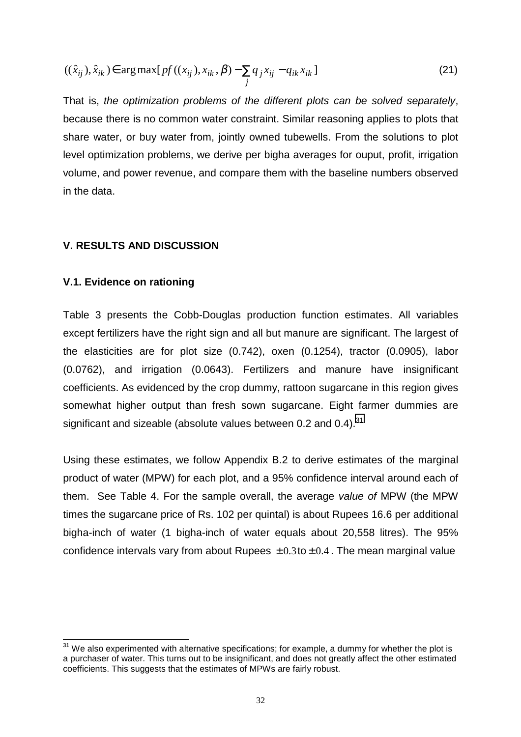$$
((\hat{x}_{ij}), \hat{x}_{ik}) \in \arg \max [pf((x_{ij}), x_{ik}, \beta) - \sum_{j} q_j x_{ij} - q_{ik} x_{ik}]
$$
\n(21)

That is, *the optimization problems of the different plots can be solved separately*, because there is no common water constraint. Similar reasoning applies to plots that share water, or buy water from, jointly owned tubewells. From the solutions to plot level optimization problems, we derive per bigha averages for ouput, profit, irrigation volume, and power revenue, and compare them with the baseline numbers observed in the data.

## **V. RESULTS AND DISCUSSION**

### **V.1. Evidence on rationing**

 $\overline{a}$ 

Table 3 presents the Cobb-Douglas production function estimates. All variables except fertilizers have the right sign and all but manure are significant. The largest of the elasticities are for plot size (0.742), oxen (0.1254), tractor (0.0905), labor (0.0762), and irrigation (0.0643). Fertilizers and manure have insignificant coefficients. As evidenced by the crop dummy, rattoon sugarcane in this region gives somewhat higher output than fresh sown sugarcane. Eight farmer dummies are significant and sizeable (absolute values between 0.2 and 0.4).<sup>31</sup>

Using these estimates, we follow Appendix B.2 to derive estimates of the marginal product of water (MPW) for each plot, and a 95% confidence interval around each of them. See Table 4. For the sample overall, the average *value of* MPW (the MPW times the sugarcane price of Rs. 102 per quintal) is about Rupees 16.6 per additional bigha-inch of water (1 bigha-inch of water equals about 20,558 litres). The 95% confidence intervals vary from about Rupees  $\pm 0.3$  to  $\pm 0.4$ . The mean marginal value

 $31$  We also experimented with alternative specifications; for example, a dummy for whether the plot is a purchaser of water. This turns out to be insignificant, and does not greatly affect the other estimated coefficients. This suggests that the estimates of MPWs are fairly robust.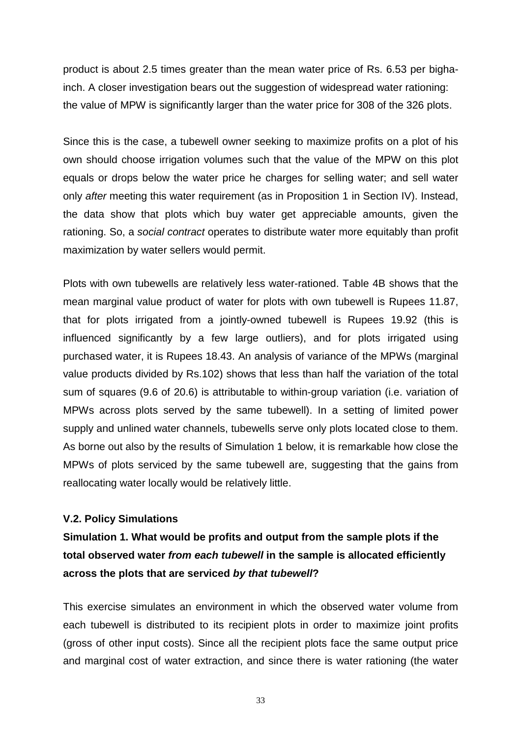product is about 2.5 times greater than the mean water price of Rs. 6.53 per bighainch. A closer investigation bears out the suggestion of widespread water rationing: the value of MPW is significantly larger than the water price for 308 of the 326 plots.

Since this is the case, a tubewell owner seeking to maximize profits on a plot of his own should choose irrigation volumes such that the value of the MPW on this plot equals or drops below the water price he charges for selling water; and sell water only *after* meeting this water requirement (as in Proposition 1 in Section IV). Instead, the data show that plots which buy water get appreciable amounts, given the rationing. So, a *social contract* operates to distribute water more equitably than profit maximization by water sellers would permit.

Plots with own tubewells are relatively less water-rationed. Table 4B shows that the mean marginal value product of water for plots with own tubewell is Rupees 11.87, that for plots irrigated from a jointly-owned tubewell is Rupees 19.92 (this is influenced significantly by a few large outliers), and for plots irrigated using purchased water, it is Rupees 18.43. An analysis of variance of the MPWs (marginal value products divided by Rs.102) shows that less than half the variation of the total sum of squares (9.6 of 20.6) is attributable to within-group variation (i.e. variation of MPWs across plots served by the same tubewell). In a setting of limited power supply and unlined water channels, tubewells serve only plots located close to them. As borne out also by the results of Simulation 1 below, it is remarkable how close the MPWs of plots serviced by the same tubewell are, suggesting that the gains from reallocating water locally would be relatively little.

#### **V.2. Policy Simulations**

**Simulation 1. What would be profits and output from the sample plots if the total observed water** *from each tubewell* **in the sample is allocated efficiently across the plots that are serviced** *by that tubewell***?**

This exercise simulates an environment in which the observed water volume from each tubewell is distributed to its recipient plots in order to maximize joint profits (gross of other input costs). Since all the recipient plots face the same output price and marginal cost of water extraction, and since there is water rationing (the water

33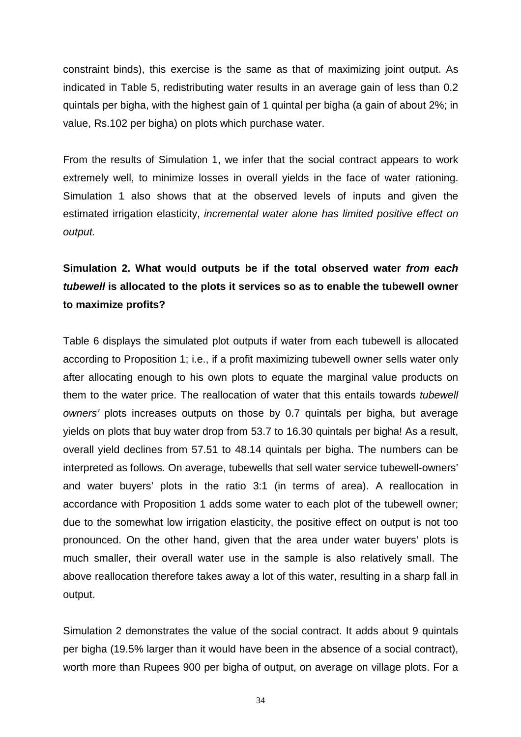constraint binds), this exercise is the same as that of maximizing joint output. As indicated in Table 5, redistributing water results in an average gain of less than 0.2 quintals per bigha, with the highest gain of 1 quintal per bigha (a gain of about 2%; in value, Rs.102 per bigha) on plots which purchase water.

From the results of Simulation 1, we infer that the social contract appears to work extremely well, to minimize losses in overall yields in the face of water rationing. Simulation 1 also shows that at the observed levels of inputs and given the estimated irrigation elasticity, *incremental water alone has limited positive effect on output.*

# **Simulation 2. What would outputs be if the total observed water** *from each tubewell* **is allocated to the plots it services so as to enable the tubewell owner to maximize profits?**

Table 6 displays the simulated plot outputs if water from each tubewell is allocated according to Proposition 1; i.e., if a profit maximizing tubewell owner sells water only after allocating enough to his own plots to equate the marginal value products on them to the water price. The reallocation of water that this entails towards *tubewell owners'* plots increases outputs on those by 0.7 quintals per bigha, but average yields on plots that buy water drop from 53.7 to 16.30 quintals per bigha! As a result, overall yield declines from 57.51 to 48.14 quintals per bigha. The numbers can be interpreted as follows. On average, tubewells that sell water service tubewell-owners' and water buyers' plots in the ratio 3:1 (in terms of area). A reallocation in accordance with Proposition 1 adds some water to each plot of the tubewell owner; due to the somewhat low irrigation elasticity, the positive effect on output is not too pronounced. On the other hand, given that the area under water buyers' plots is much smaller, their overall water use in the sample is also relatively small. The above reallocation therefore takes away a lot of this water, resulting in a sharp fall in output.

Simulation 2 demonstrates the value of the social contract. It adds about 9 quintals per bigha (19.5% larger than it would have been in the absence of a social contract), worth more than Rupees 900 per bigha of output, on average on village plots. For a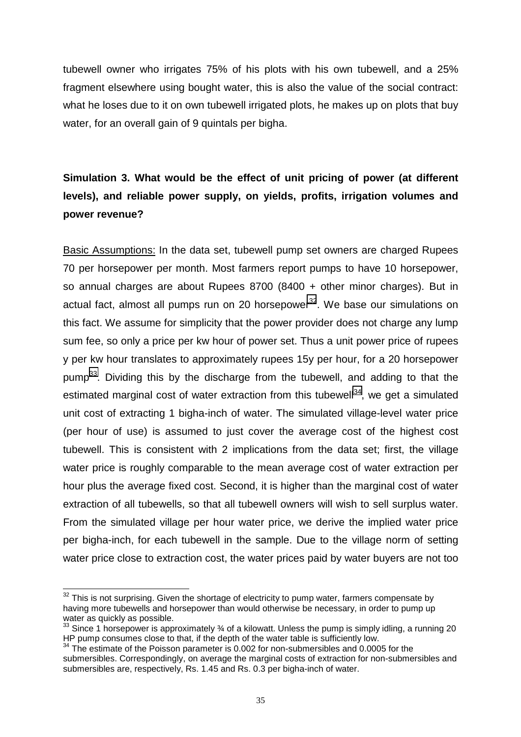tubewell owner who irrigates 75% of his plots with his own tubewell, and a 25% fragment elsewhere using bought water, this is also the value of the social contract: what he loses due to it on own tubewell irrigated plots, he makes up on plots that buy water, for an overall gain of 9 quintals per bigha.

# **Simulation 3. What would be the effect of unit pricing of power (at different levels), and reliable power supply, on yields, profits, irrigation volumes and power revenue?**

Basic Assumptions: In the data set, tubewell pump set owners are charged Rupees 70 per horsepower per month. Most farmers report pumps to have 10 horsepower, so annual charges are about Rupees 8700 (8400 + other minor charges). But in actual fact, almost all pumps run on 20 horsepower $32$ . We base our simulations on this fact. We assume for simplicity that the power provider does not charge any lump sum fee, so only a price per kw hour of power set. Thus a unit power price of rupees y per kw hour translates to approximately rupees 15y per hour, for a 20 horsepower pump<sup>33</sup>. Dividing this by the discharge from the tubewell, and adding to that the estimated marginal cost of water extraction from this tubewell<sup>34</sup>, we get a simulated unit cost of extracting 1 bigha-inch of water. The simulated village-level water price (per hour of use) is assumed to just cover the average cost of the highest cost tubewell. This is consistent with 2 implications from the data set; first, the village water price is roughly comparable to the mean average cost of water extraction per hour plus the average fixed cost. Second, it is higher than the marginal cost of water extraction of all tubewells, so that all tubewell owners will wish to sell surplus water. From the simulated village per hour water price, we derive the implied water price per bigha-inch, for each tubewell in the sample. Due to the village norm of setting water price close to extraction cost, the water prices paid by water buyers are not too

 $\overline{a}$ 

 $32$  This is not surprising. Given the shortage of electricity to pump water, farmers compensate by having more tubewells and horsepower than would otherwise be necessary, in order to pump up water as quickly as possible.

 $33$  Since 1 horsepower is approximately  $\frac{3}{4}$  of a kilowatt. Unless the pump is simply idling, a running 20 HP pump consumes close to that, if the depth of the water table is sufficiently low.

<sup>&</sup>lt;sup>34</sup> The estimate of the Poisson parameter is 0.002 for non-submersibles and 0.0005 for the submersibles. Correspondingly, on average the marginal costs of extraction for non-submersibles and submersibles are, respectively, Rs. 1.45 and Rs. 0.3 per bigha-inch of water.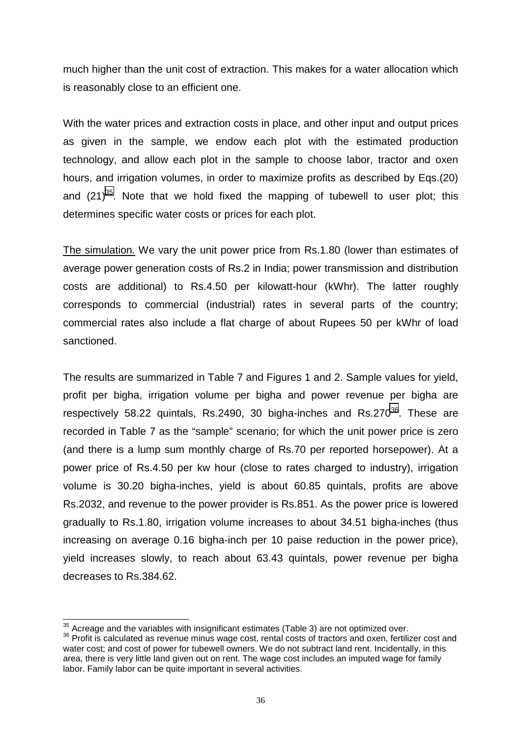much higher than the unit cost of extraction. This makes for a water allocation which is reasonably close to an efficient one.

With the water prices and extraction costs in place, and other input and output prices as given in the sample, we endow each plot with the estimated production technology, and allow each plot in the sample to choose labor, tractor and oxen hours, and irrigation volumes, in order to maximize profits as described by Eqs.(20) and  $(21)^{35}$ . Note that we hold fixed the mapping of tubewell to user plot; this determines specific water costs or prices for each plot.

The simulation. We vary the unit power price from Rs.1.80 (lower than estimates of average power generation costs of Rs.2 in India; power transmission and distribution costs are additional) to Rs.4.50 per kilowatt-hour (kWhr). The latter roughly corresponds to commercial (industrial) rates in several parts of the country; commercial rates also include a flat charge of about Rupees 50 per kWhr of load sanctioned.

The results are summarized in Table 7 and Figures 1 and 2. Sample values for yield, profit per bigha, irrigation volume per bigha and power revenue per bigha are respectively 58.22 quintals, Rs.2490, 30 bigha-inches and Rs.270 $^{36}$ . These are recorded in Table 7 as the "sample" scenario; for which the unit power price is zero (and there is a lump sum monthly charge of Rs.70 per reported horsepower). At a power price of Rs.4.50 per kw hour (close to rates charged to industry), irrigation volume is 30.20 bigha-inches, yield is about 60.85 quintals, profits are above Rs.2032, and revenue to the power provider is Rs.851. As the power price is lowered gradually to Rs.1.80, irrigation volume increases to about 34.51 bigha-inches (thus increasing on average 0.16 bigha-inch per 10 paise reduction in the power price), yield increases slowly, to reach about 63.43 quintals, power revenue per bigha decreases to Rs.384.62.

 $\overline{35}$  Acreage and the variables with insignificant estimates (Table 3) are not optimized over.

<sup>&</sup>lt;sup>36</sup> Profit is calculated as revenue minus wage cost, rental costs of tractors and oxen, fertilizer cost and water cost; and cost of power for tubewell owners. We do not subtract land rent. Incidentally, in this area, there is very little land given out on rent. The wage cost includes an imputed wage for family labor. Family labor can be quite important in several activities.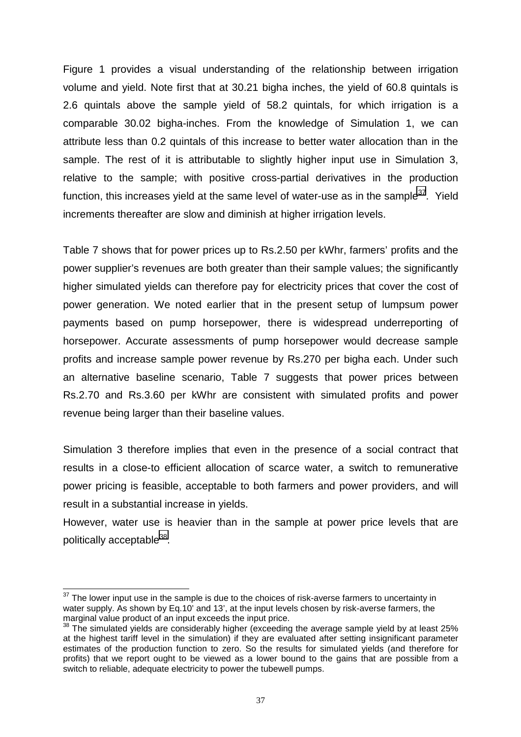Figure 1 provides a visual understanding of the relationship between irrigation volume and yield. Note first that at 30.21 bigha inches, the yield of 60.8 quintals is 2.6 quintals above the sample yield of 58.2 quintals, for which irrigation is a comparable 30.02 bigha-inches. From the knowledge of Simulation 1, we can attribute less than 0.2 quintals of this increase to better water allocation than in the sample. The rest of it is attributable to slightly higher input use in Simulation 3, relative to the sample; with positive cross-partial derivatives in the production function, this increases yield at the same level of water-use as in the sample $37$ . Yield increments thereafter are slow and diminish at higher irrigation levels.

Table 7 shows that for power prices up to Rs.2.50 per kWhr, farmers' profits and the power supplier's revenues are both greater than their sample values; the significantly higher simulated yields can therefore pay for electricity prices that cover the cost of power generation. We noted earlier that in the present setup of lumpsum power payments based on pump horsepower, there is widespread underreporting of horsepower. Accurate assessments of pump horsepower would decrease sample profits and increase sample power revenue by Rs.270 per bigha each. Under such an alternative baseline scenario, Table 7 suggests that power prices between Rs.2.70 and Rs.3.60 per kWhr are consistent with simulated profits and power revenue being larger than their baseline values.

Simulation 3 therefore implies that even in the presence of a social contract that results in a close-to efficient allocation of scarce water, a switch to remunerative power pricing is feasible, acceptable to both farmers and power providers, and will result in a substantial increase in yields.

However, water use is heavier than in the sample at power price levels that are politically acceptable<sup>38</sup>.

 $\overline{a}$ 

 $37$  The lower input use in the sample is due to the choices of risk-averse farmers to uncertainty in water supply. As shown by Eq.10' and 13', at the input levels chosen by risk-averse farmers, the marginal value product of an input exceeds the input price.

 $38$  The simulated yields are considerably higher (exceeding the average sample yield by at least 25% at the highest tariff level in the simulation) if they are evaluated after setting insignificant parameter estimates of the production function to zero. So the results for simulated yields (and therefore for profits) that we report ought to be viewed as a lower bound to the gains that are possible from a switch to reliable, adequate electricity to power the tubewell pumps.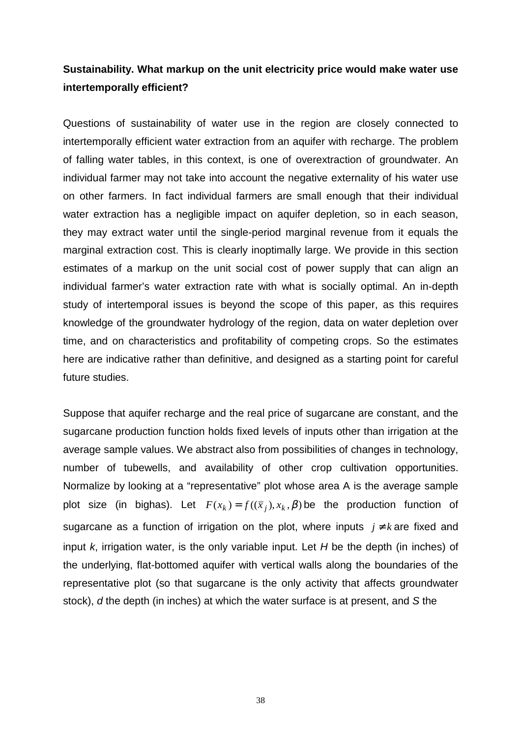# **Sustainability. What markup on the unit electricity price would make water use intertemporally efficient?**

Questions of sustainability of water use in the region are closely connected to intertemporally efficient water extraction from an aquifer with recharge. The problem of falling water tables, in this context, is one of overextraction of groundwater. An individual farmer may not take into account the negative externality of his water use on other farmers. In fact individual farmers are small enough that their individual water extraction has a negligible impact on aquifer depletion, so in each season, they may extract water until the single-period marginal revenue from it equals the marginal extraction cost. This is clearly inoptimally large. We provide in this section estimates of a markup on the unit social cost of power supply that can align an individual farmer's water extraction rate with what is socially optimal. An in-depth study of intertemporal issues is beyond the scope of this paper, as this requires knowledge of the groundwater hydrology of the region, data on water depletion over time, and on characteristics and profitability of competing crops. So the estimates here are indicative rather than definitive, and designed as a starting point for careful future studies.

Suppose that aquifer recharge and the real price of sugarcane are constant, and the sugarcane production function holds fixed levels of inputs other than irrigation at the average sample values. We abstract also from possibilities of changes in technology, number of tubewells, and availability of other crop cultivation opportunities. Normalize by looking at a "representative" plot whose area A is the average sample plot size (in bighas). Let  $F(x_k) = f((\bar{x}_i), x_k, \beta)$  be the production function of sugarcane as a function of irrigation on the plot, where inputs  $j \neq k$  are fixed and input *k*, irrigation water, is the only variable input. Let *H* be the depth (in inches) of the underlying, flat-bottomed aquifer with vertical walls along the boundaries of the representative plot (so that sugarcane is the only activity that affects groundwater stock), *d* the depth (in inches) at which the water surface is at present, and *S* the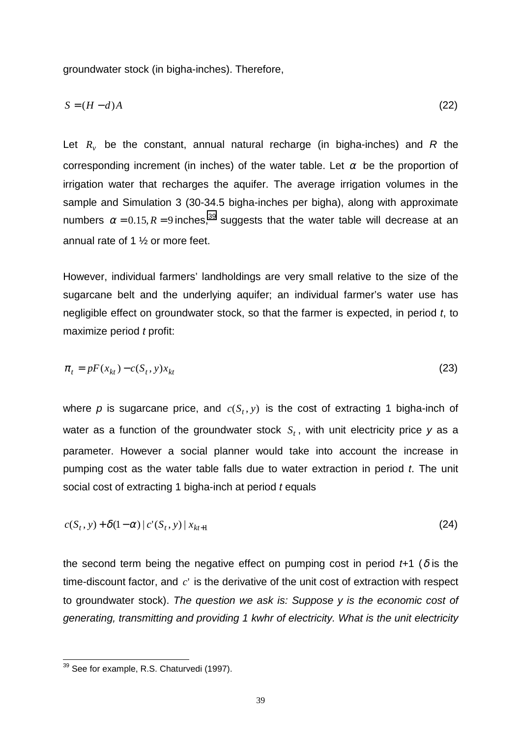groundwater stock (in bigha-inches). Therefore,

$$
S = (H - d)A\tag{22}
$$

Let  $R_v$  be the constant, annual natural recharge (in bigha-inches) and  $R$  the corresponding increment (in inches) of the water table. Let  $\alpha$  be the proportion of irrigation water that recharges the aquifer. The average irrigation volumes in the sample and Simulation 3 (30-34.5 bigha-inches per bigha), along with approximate numbers  $\alpha = 0.15$ ,  $R = 9$  inches,<sup>39</sup> suggests that the water table will decrease at an annual rate of 1 ½ or more feet.

However, individual farmers' landholdings are very small relative to the size of the sugarcane belt and the underlying aquifer; an individual farmer's water use has negligible effect on groundwater stock, so that the farmer is expected, in period *t*, to maximize period *t* profit:

$$
\pi_t = pF(x_{kt}) - c(S_t, y)x_{kt} \tag{23}
$$

where p is sugarcane price, and  $c(S, y)$  is the cost of extracting 1 bigha-inch of water as a function of the groundwater stock  $S_t$ , with unit electricity price y as a parameter. However a social planner would take into account the increase in pumping cost as the water table falls due to water extraction in period *t*. The unit social cost of extracting 1 bigha-inch at period *t* equals

$$
c(S_t, y) + \delta(1 - \alpha) \left| c'(S_t, y) \right| x_{kt+1} \tag{24}
$$

the second term being the negative effect on pumping cost in period  $t+1$  ( $\delta$  is the time-discount factor, and *c*' is the derivative of the unit cost of extraction with respect to groundwater stock). *The question we ask is: Suppose y is the economic cost of generating, transmitting and providing 1 kwhr of electricity. What is the unit electricity*

l

 $39$  See for example, R.S. Chaturvedi (1997).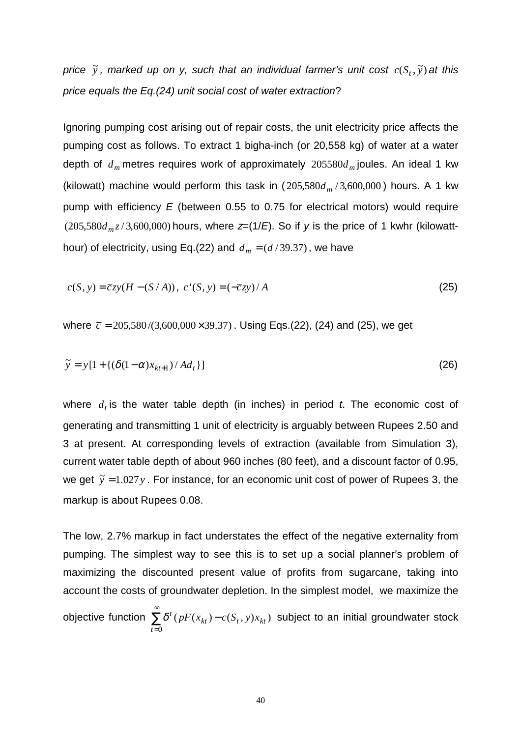*price*  $\tilde{y}$  *, marked up on y, such that an individual farmer's unit*  $cost\ c(S_t, \tilde{y})$  *at this price equals the Eq.(24) unit social cost of water extraction*?

Ignoring pumping cost arising out of repair costs, the unit electricity price affects the pumping cost as follows. To extract 1 bigha-inch (or 20,558 kg) of water at a water depth of  $d_m$  metres requires work of approximately 205580 $d_m$  joules. An ideal 1 kw (kilowatt) machine would perform this task in  $(205,580d_m/3,600,000)$  hours. A 1 kw pump with efficiency *E* (between 0.55 to 0.75 for electrical motors) would require (205,580 $d_m z/3$ ,600,000) hours, where  $z=(1/E)$ . So if *y* is the price of 1 kwhr (kilowatthour) of electricity, using Eq.(22) and  $d_m = (d/39.37)$ , we have

$$
c(S, y) = \overline{c}zy(H - (S/A)), \ c'(S, y) = (-\overline{c}zy)/A
$$
 (25)

where  $\bar{c} = 205,580/(3,600,000 \times 39.37)$ . Using Eqs.(22), (24) and (25), we get

$$
\widetilde{y} = y[1 + \{(\delta(1-\alpha)x_{kt+1})/Ad_t\}]
$$
\n(26)

where  $d_t$  is the water table depth (in inches) in period  $t$ . The economic cost of generating and transmitting 1 unit of electricity is arguably between Rupees 2.50 and 3 at present. At corresponding levels of extraction (available from Simulation 3), current water table depth of about 960 inches (80 feet), and a discount factor of 0.95, we get  $\tilde{y} = 1.027y$ . For instance, for an economic unit cost of power of Rupees 3, the markup is about Rupees 0.08.

The low, 2.7% markup in fact understates the effect of the negative externality from pumping. The simplest way to see this is to set up a social planner's problem of maximizing the discounted present value of profits from sugarcane, taking into account the costs of groundwater depletion. In the simplest model, we maximize the

objective function  $\,\Sigma$ ∞ = − 0  $(pF(x_{kt}) - c(S_t, y)x_{kt})$ *t*  $\delta^t$  ( $pF(x_{kt}) - c(S_t, y)x_{kt}$ ) subject to an initial groundwater stock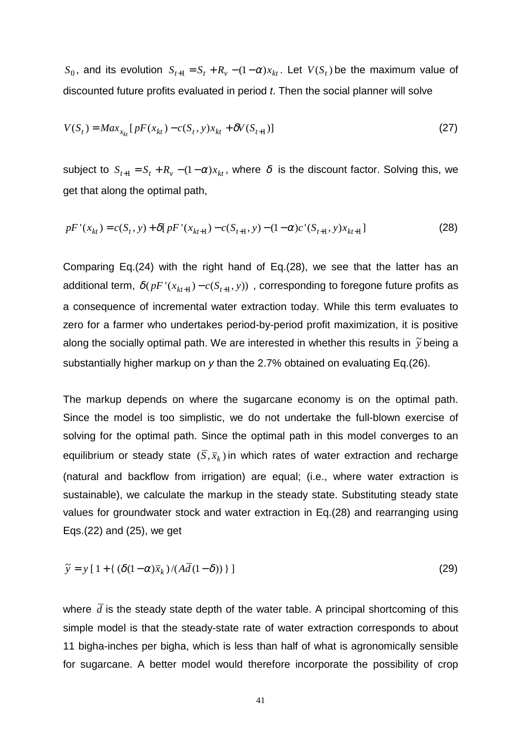$S_0$ , and its evolution  $S_{t+1} = S_t + R_v - (1 - \alpha)x_{kt}$ . Let  $V(S_t)$  be the maximum value of discounted future profits evaluated in period *t*. Then the social planner will solve

$$
V(S_t) = Max_{x_{kt}}[pF(x_{kt}) - c(S_t, y)x_{kt} + \delta V(S_{t+1})]
$$
\n(27)

subject to  $S_{t+1} = S_t + R_v - (1-\alpha)x_{kt}$ , where  $\delta$  is the discount factor. Solving this, we get that along the optimal path,

$$
pF'(x_{kt}) = c(S_t, y) + \delta[ pF'(x_{kt+1}) - c(S_{t+1}, y) - (1 - \alpha)c'(S_{t+1}, y)x_{kt+1}]
$$
\n(28)

Comparing Eq.(24) with the right hand of Eq.(28), we see that the latter has an additional term,  $\delta ( pF' ( x_{kt+1} ) - c ( S_{t+1}, y ) )$ , corresponding to foregone future profits as a consequence of incremental water extraction today. While this term evaluates to zero for a farmer who undertakes period-by-period profit maximization, it is positive along the socially optimal path. We are interested in whether this results in  $\,\widetilde{y}\,$  being a substantially higher markup on *y* than the 2.7% obtained on evaluating Eq.(26).

The markup depends on where the sugarcane economy is on the optimal path. Since the model is too simplistic, we do not undertake the full-blown exercise of solving for the optimal path. Since the optimal path in this model converges to an equilibrium or steady state  $(\bar{S}, \bar{x}_k)$  in which rates of water extraction and recharge (natural and backflow from irrigation) are equal; (i.e., where water extraction is sustainable), we calculate the markup in the steady state. Substituting steady state values for groundwater stock and water extraction in Eq.(28) and rearranging using Eqs.(22) and (25), we get

$$
\tilde{y} = y [1 + {\left(\delta(1-\alpha)\bar{x}_k\right)}/(A\bar{d}(1-\delta))}]
$$
\n(29)

where  $\bar{d}$  is the steady state depth of the water table. A principal shortcoming of this simple model is that the steady-state rate of water extraction corresponds to about 11 bigha-inches per bigha, which is less than half of what is agronomically sensible for sugarcane. A better model would therefore incorporate the possibility of crop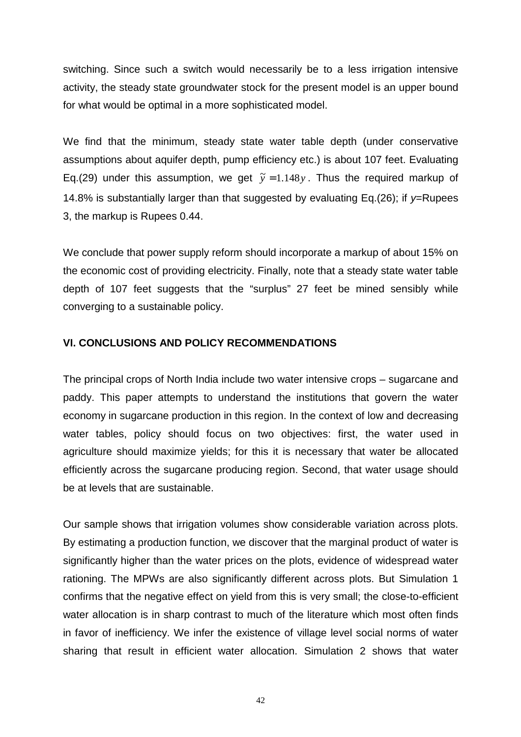switching. Since such a switch would necessarily be to a less irrigation intensive activity, the steady state groundwater stock for the present model is an upper bound for what would be optimal in a more sophisticated model.

We find that the minimum, steady state water table depth (under conservative assumptions about aquifer depth, pump efficiency etc.) is about 107 feet. Evaluating Eq.(29) under this assumption, we get  $\tilde{y} = 1.148y$ . Thus the required markup of 14.8% is substantially larger than that suggested by evaluating Eq.(26); if *y*=Rupees 3, the markup is Rupees 0.44.

We conclude that power supply reform should incorporate a markup of about 15% on the economic cost of providing electricity. Finally, note that a steady state water table depth of 107 feet suggests that the "surplus" 27 feet be mined sensibly while converging to a sustainable policy.

## **VI. CONCLUSIONS AND POLICY RECOMMENDATIONS**

The principal crops of North India include two water intensive crops – sugarcane and paddy. This paper attempts to understand the institutions that govern the water economy in sugarcane production in this region. In the context of low and decreasing water tables, policy should focus on two objectives: first, the water used in agriculture should maximize yields; for this it is necessary that water be allocated efficiently across the sugarcane producing region. Second, that water usage should be at levels that are sustainable.

Our sample shows that irrigation volumes show considerable variation across plots. By estimating a production function, we discover that the marginal product of water is significantly higher than the water prices on the plots, evidence of widespread water rationing. The MPWs are also significantly different across plots. But Simulation 1 confirms that the negative effect on yield from this is very small; the close-to-efficient water allocation is in sharp contrast to much of the literature which most often finds in favor of inefficiency. We infer the existence of village level social norms of water sharing that result in efficient water allocation. Simulation 2 shows that water

42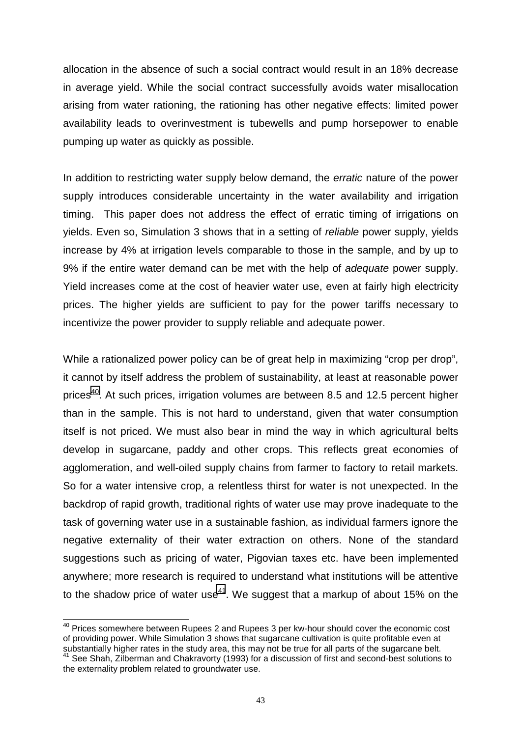allocation in the absence of such a social contract would result in an 18% decrease in average yield. While the social contract successfully avoids water misallocation arising from water rationing, the rationing has other negative effects: limited power availability leads to overinvestment is tubewells and pump horsepower to enable pumping up water as quickly as possible.

In addition to restricting water supply below demand, the *erratic* nature of the power supply introduces considerable uncertainty in the water availability and irrigation timing. This paper does not address the effect of erratic timing of irrigations on yields. Even so, Simulation 3 shows that in a setting of *reliable* power supply, yields increase by 4% at irrigation levels comparable to those in the sample, and by up to 9% if the entire water demand can be met with the help of *adequate* power supply. Yield increases come at the cost of heavier water use, even at fairly high electricity prices. The higher yields are sufficient to pay for the power tariffs necessary to incentivize the power provider to supply reliable and adequate power.

While a rationalized power policy can be of great help in maximizing "crop per drop", it cannot by itself address the problem of sustainability, at least at reasonable power prices<sup>40</sup>. At such prices, irrigation volumes are between 8.5 and 12.5 percent higher than in the sample. This is not hard to understand, given that water consumption itself is not priced. We must also bear in mind the way in which agricultural belts develop in sugarcane, paddy and other crops. This reflects great economies of agglomeration, and well-oiled supply chains from farmer to factory to retail markets. So for a water intensive crop, a relentless thirst for water is not unexpected. In the backdrop of rapid growth, traditional rights of water use may prove inadequate to the task of governing water use in a sustainable fashion, as individual farmers ignore the negative externality of their water extraction on others. None of the standard suggestions such as pricing of water, Pigovian taxes etc. have been implemented anywhere; more research is required to understand what institutions will be attentive to the shadow price of water use<sup>41</sup>. We suggest that a markup of about 15% on the

 $\overline{a}$ 

 $^{40}$  Prices somewhere between Rupees 2 and Rupees 3 per kw-hour should cover the economic cost of providing power. While Simulation 3 shows that sugarcane cultivation is quite profitable even at substantially higher rates in the study area, this may not be true for all parts of the sugarcane belt.  $41$  See Shah, Zilberman and Chakravorty (1993) for a discussion of first and second-best solutions to the externality problem related to groundwater use.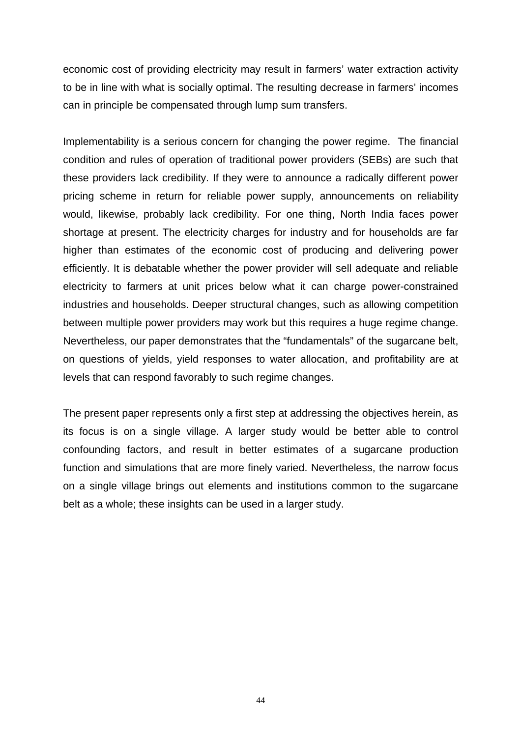economic cost of providing electricity may result in farmers' water extraction activity to be in line with what is socially optimal. The resulting decrease in farmers' incomes can in principle be compensated through lump sum transfers.

Implementability is a serious concern for changing the power regime. The financial condition and rules of operation of traditional power providers (SEBs) are such that these providers lack credibility. If they were to announce a radically different power pricing scheme in return for reliable power supply, announcements on reliability would, likewise, probably lack credibility. For one thing, North India faces power shortage at present. The electricity charges for industry and for households are far higher than estimates of the economic cost of producing and delivering power efficiently. It is debatable whether the power provider will sell adequate and reliable electricity to farmers at unit prices below what it can charge power-constrained industries and households. Deeper structural changes, such as allowing competition between multiple power providers may work but this requires a huge regime change. Nevertheless, our paper demonstrates that the "fundamentals" of the sugarcane belt, on questions of yields, yield responses to water allocation, and profitability are at levels that can respond favorably to such regime changes.

The present paper represents only a first step at addressing the objectives herein, as its focus is on a single village. A larger study would be better able to control confounding factors, and result in better estimates of a sugarcane production function and simulations that are more finely varied. Nevertheless, the narrow focus on a single village brings out elements and institutions common to the sugarcane belt as a whole; these insights can be used in a larger study.

44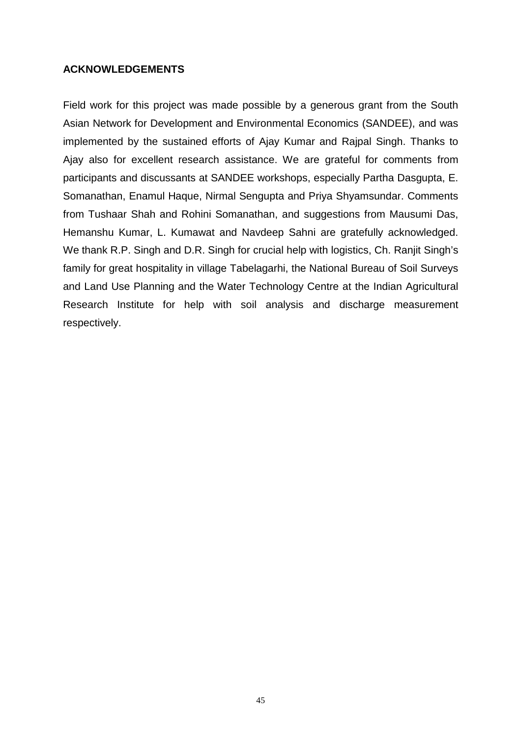### **ACKNOWLEDGEMENTS**

Field work for this project was made possible by a generous grant from the South Asian Network for Development and Environmental Economics (SANDEE), and was implemented by the sustained efforts of Ajay Kumar and Rajpal Singh. Thanks to Ajay also for excellent research assistance. We are grateful for comments from participants and discussants at SANDEE workshops, especially Partha Dasgupta, E. Somanathan, Enamul Haque, Nirmal Sengupta and Priya Shyamsundar. Comments from Tushaar Shah and Rohini Somanathan, and suggestions from Mausumi Das, Hemanshu Kumar, L. Kumawat and Navdeep Sahni are gratefully acknowledged. We thank R.P. Singh and D.R. Singh for crucial help with logistics, Ch. Ranjit Singh's family for great hospitality in village Tabelagarhi, the National Bureau of Soil Surveys and Land Use Planning and the Water Technology Centre at the Indian Agricultural Research Institute for help with soil analysis and discharge measurement respectively.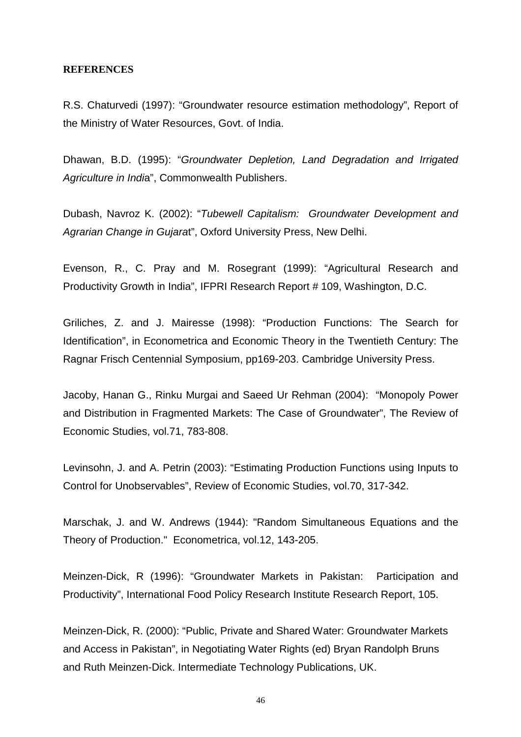#### **REFERENCES**

R.S. Chaturvedi (1997): "Groundwater resource estimation methodology", Report of the Ministry of Water Resources, Govt. of India.

Dhawan, B.D. (1995): "*Groundwater Depletion, Land Degradation and Irrigated Agriculture in Indi*a", Commonwealth Publishers.

Dubash, Navroz K. (2002): "*Tubewell Capitalism: Groundwater Development and Agrarian Change in Gujara*t", Oxford University Press, New Delhi.

Evenson, R., C. Pray and M. Rosegrant (1999): "Agricultural Research and Productivity Growth in India", IFPRI Research Report # 109, Washington, D.C.

Griliches, Z. and J. Mairesse (1998): "Production Functions: The Search for Identification", in Econometrica and Economic Theory in the Twentieth Century: The Ragnar Frisch Centennial Symposium, pp169-203. Cambridge University Press.

Jacoby, Hanan G., Rinku Murgai and Saeed Ur Rehman (2004): "Monopoly Power and Distribution in Fragmented Markets: The Case of Groundwater", The Review of Economic Studies, vol.71, 783-808.

Levinsohn, J. and A. Petrin (2003): "Estimating Production Functions using Inputs to Control for Unobservables", Review of Economic Studies, vol.70, 317-342.

Marschak, J. and W. Andrews (1944): "Random Simultaneous Equations and the Theory of Production." Econometrica, vol.12, 143-205.

Meinzen-Dick, R (1996): "Groundwater Markets in Pakistan: Participation and Productivity", International Food Policy Research Institute Research Report, 105.

Meinzen-Dick, R. (2000): "Public, Private and Shared Water: Groundwater Markets and Access in Pakistan", in Negotiating Water Rights (ed) Bryan Randolph Bruns and Ruth Meinzen-Dick. Intermediate Technology Publications, UK.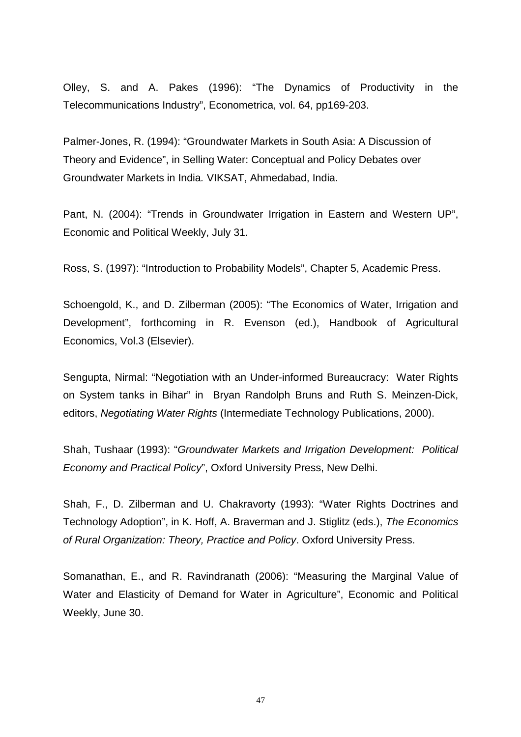Olley, S. and A. Pakes (1996): "The Dynamics of Productivity in the Telecommunications Industry", Econometrica, vol. 64, pp169-203.

Palmer-Jones, R. (1994): "Groundwater Markets in South Asia: A Discussion of Theory and Evidence", in Selling Water: Conceptual and Policy Debates over Groundwater Markets in India*.* VIKSAT, Ahmedabad, India.

Pant, N. (2004): "Trends in Groundwater Irrigation in Eastern and Western UP", Economic and Political Weekly, July 31.

Ross, S. (1997): "Introduction to Probability Models", Chapter 5, Academic Press.

Schoengold, K., and D. Zilberman (2005): "The Economics of Water, Irrigation and Development", forthcoming in R. Evenson (ed.), Handbook of Agricultural Economics, Vol.3 (Elsevier).

Sengupta, Nirmal: "Negotiation with an Under-informed Bureaucracy: Water Rights on System tanks in Bihar" in Bryan Randolph Bruns and Ruth S. Meinzen-Dick, editors, *Negotiating Water Rights* (Intermediate Technology Publications, 2000).

Shah, Tushaar (1993): "*Groundwater Markets and Irrigation Development: Political Economy and Practical Policy*", Oxford University Press, New Delhi.

Shah, F., D. Zilberman and U. Chakravorty (1993): "Water Rights Doctrines and Technology Adoption", in K. Hoff, A. Braverman and J. Stiglitz (eds.), *The Economics of Rural Organization: Theory, Practice and Policy*. Oxford University Press.

Somanathan, E., and R. Ravindranath (2006): "Measuring the Marginal Value of Water and Elasticity of Demand for Water in Agriculture", Economic and Political Weekly, June 30.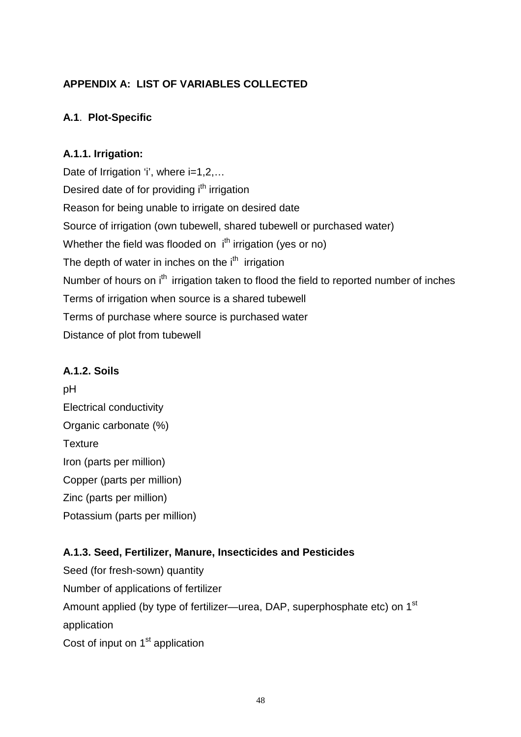# **APPENDIX A: LIST OF VARIABLES COLLECTED**

# **A.1**. **Plot-Specific**

# **A.1.1. Irrigation:**

Date of Irrigation 'i', where i=1,2,... Desired date of for providing i<sup>th</sup> irrigation Reason for being unable to irrigate on desired date Source of irrigation (own tubewell, shared tubewell or purchased water) Whether the field was flooded on  $i<sup>th</sup>$  irrigation (yes or no) The depth of water in inches on the i<sup>th</sup> irrigation Number of hours on i<sup>th</sup> irrigation taken to flood the field to reported number of inches Terms of irrigation when source is a shared tubewell Terms of purchase where source is purchased water Distance of plot from tubewell

## **A.1.2. Soils**

pH Electrical conductivity Organic carbonate (%) **Texture** Iron (parts per million) Copper (parts per million) Zinc (parts per million) Potassium (parts per million)

# **A.1.3. Seed, Fertilizer, Manure, Insecticides and Pesticides**

Seed (for fresh-sown) quantity Number of applications of fertilizer Amount applied (by type of fertilizer—urea, DAP, superphosphate etc) on 1<sup>st</sup> application Cost of input on 1<sup>st</sup> application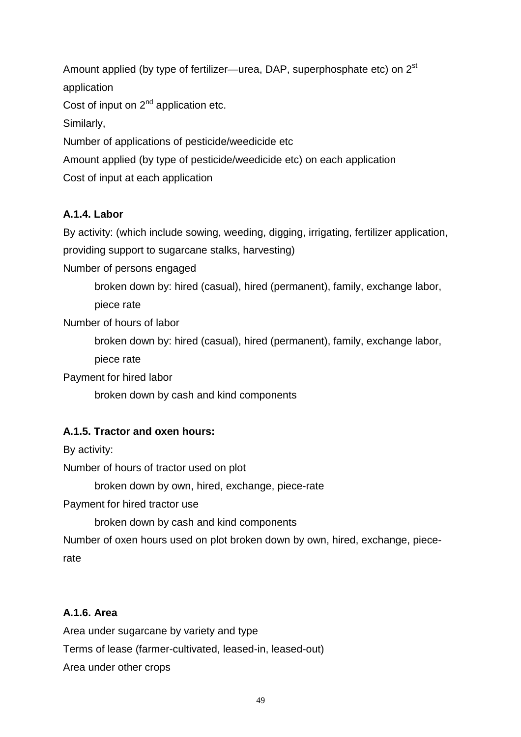Amount applied (by type of fertilizer—urea, DAP, superphosphate etc) on 2<sup>st</sup> application Cost of input on  $2^{nd}$  application etc. Similarly, Number of applications of pesticide/weedicide etc Amount applied (by type of pesticide/weedicide etc) on each application Cost of input at each application

# **A.1.4. Labor**

By activity: (which include sowing, weeding, digging, irrigating, fertilizer application,

providing support to sugarcane stalks, harvesting)

Number of persons engaged

broken down by: hired (casual), hired (permanent), family, exchange labor, piece rate

Number of hours of labor

broken down by: hired (casual), hired (permanent), family, exchange labor,

piece rate

Payment for hired labor

broken down by cash and kind components

## **A.1.5. Tractor and oxen hours:**

By activity:

Number of hours of tractor used on plot

broken down by own, hired, exchange, piece-rate

Payment for hired tractor use

broken down by cash and kind components

Number of oxen hours used on plot broken down by own, hired, exchange, piecerate

## **A.1.6. Area**

Area under sugarcane by variety and type Terms of lease (farmer-cultivated, leased-in, leased-out) Area under other crops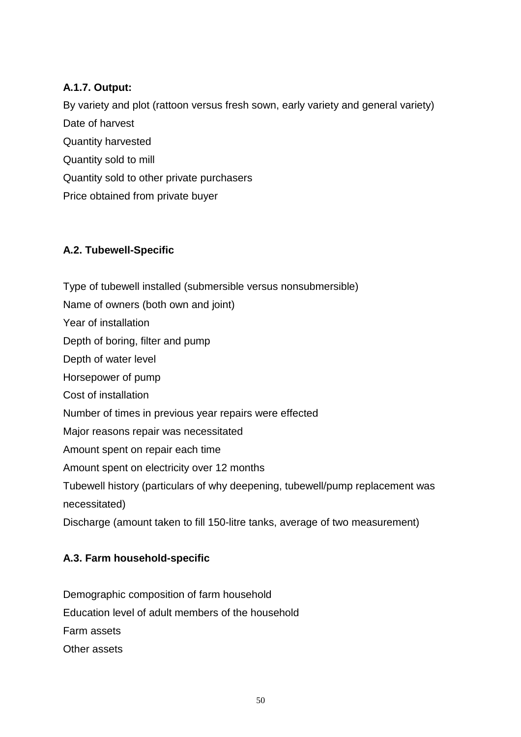## **A.1.7. Output:**

By variety and plot (rattoon versus fresh sown, early variety and general variety) Date of harvest Quantity harvested Quantity sold to mill Quantity sold to other private purchasers Price obtained from private buyer

# **A.2. Tubewell-Specific**

Type of tubewell installed (submersible versus nonsubmersible) Name of owners (both own and joint) Year of installation Depth of boring, filter and pump Depth of water level Horsepower of pump Cost of installation Number of times in previous year repairs were effected Major reasons repair was necessitated Amount spent on repair each time Amount spent on electricity over 12 months Tubewell history (particulars of why deepening, tubewell/pump replacement was necessitated)

# Discharge (amount taken to fill 150-litre tanks, average of two measurement)

## **A.3. Farm household-specific**

Demographic composition of farm household Education level of adult members of the household Farm assets Other assets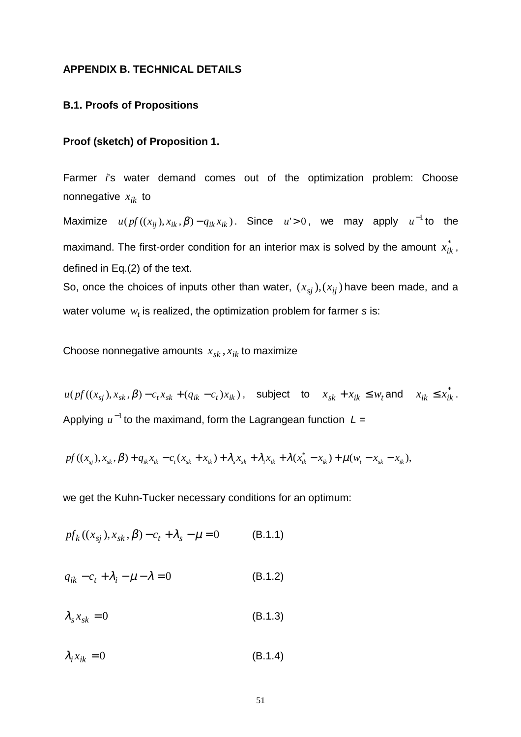#### **APPENDIX B. TECHNICAL DETAILS**

#### **B.1. Proofs of Propositions**

### **Proof (sketch) of Proposition 1.**

Farmer *i*'s water demand comes out of the optimization problem: Choose nonnegative  $x_{ik}$  to

Maximize  $u ( p f ((x_{ij}), x_{ik}, \beta) - q_{ik} x_{ik})$ . Since  $u > 0$ , we may apply  $u^{-1}$ to the maximand. The first-order condition for an interior max is solved by the amount  $x_{ik}^*$  , defined in Eq.(2) of the text.

So, once the choices of inputs other than water,  $(x_{si})$ ,  $(x_{ii})$  have been made, and a water volume  $w_t$  is realized, the optimization problem for farmer  $s$  is:

Choose nonnegative amounts  $x_{sk}$ ,  $x_{ik}$  to maximize

 $u(pt((x_{sj}), x_{sk}, \beta) - c_t x_{sk} + (q_{ik} - c_t)x_{ik})$ , subject to  $x_{sk} + x_{ik} \leq w_t$  and  $x_{ik} \leq x_{ik}^*$ . Applying u<sup>-1</sup> to the maximand, form the Lagrangean function L =

$$
pf((x_{sj}),x_{sk},\beta)+q_{ik}x_{ik}-c_{t}(x_{sk}+x_{ik})+\lambda_{s}x_{sk}+\lambda_{i}x_{ik}+\lambda(x_{ik}^{*}-x_{ik})+\mu(w_{t}-x_{sk}-x_{ik}),
$$

we get the Kuhn-Tucker necessary conditions for an optimum:

$$
pf_k((x_{sj}), x_{sk}, \beta) - c_t + \lambda_s - \mu = 0
$$
 (B.1.1)

$$
q_{ik} - c_t + \lambda_i - \mu - \lambda = 0 \tag{B.1.2}
$$

 $\lambda_s x_{sk} = 0$  (B.1.3)

 $\lambda_i x_{ik} = 0$  (B.1.4)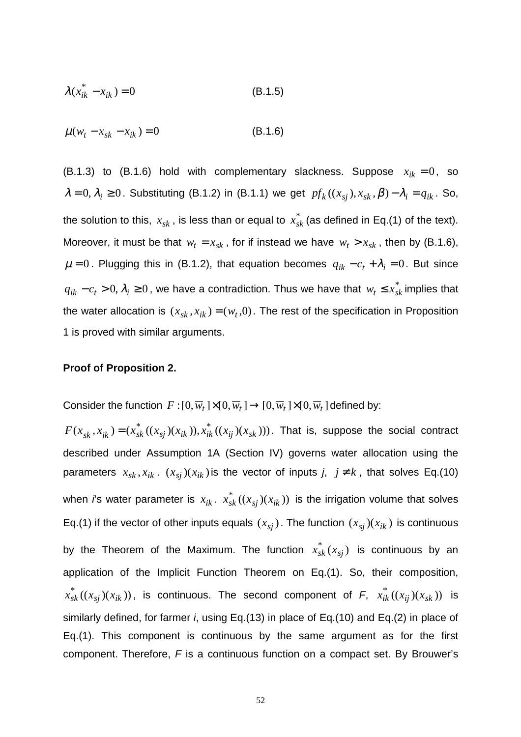$$
\lambda(x_{ik}^* - x_{ik}) = 0
$$
 (B.1.5)

$$
\mu(w_t - x_{sk} - x_{ik}) = 0 \tag{B.1.6}
$$

(B.1.3) to (B.1.6) hold with complementary slackness. Suppose  $x_{ik} = 0$ , so  $\lambda = 0$ ,  $\lambda_i \ge 0$ . Substituting (B.1.2) in (B.1.1) we get  $pf_k((x_{sj}), x_{sk}, \beta) - \lambda_i = q_{ik}$ . So, the solution to this,  $\,x_{sk}$  , is less than or equal to  $\,x^{*}_{sk}$  (as defined in Eq.(1) of the text). Moreover, it must be that  $w_t = x_{sk}$ , for if instead we have  $w_t > x_{sk}$ , then by (B.1.6),  $\mu = 0$ . Plugging this in (B.1.2), that equation becomes  $q_{ik} - c_t + \lambda_i = 0$ . But since *q*<sub>ik</sub> − *c*<sub>t</sub> > 0,  $\lambda$ <sub>i</sub> ≥ 0, we have a contradiction. Thus we have that  $w$ <sub>t</sub> ≤  $x$ <sub>sk</sub> implies that the water allocation is  $(x_{sk}, x_{ik}) = (w_t, 0)$ . The rest of the specification in Proposition 1 is proved with similar arguments.

#### **Proof of Proposition 2.**

Consider the function  $F:[0, \overline{w}_t] \times [0, \overline{w}_t] \rightarrow [0, \overline{w}_t] \times [0, \overline{w}_t]$  defined by:

 $F(x_{sk}, x_{ik})$  =  $(x_{sk}^*((x_{sj})(x_{ik})), x_{ik}^*((x_{ij})(x_{sk})))$ . That is, suppose the social contract described under Assumption 1A (Section IV) governs water allocation using the parameters  $x_{sk}$ ,  $x_{ik}$ .  $(x_{sj})(x_{ik})$  is the vector of inputs *j*,  $j \neq k$ , that solves Eq.(10) when *i*'s water parameter is  $x_{ik}$ .  $x_{sk}^*$  (( $x_{sj}$ )( $x_{ik}$ )) is the irrigation volume that solves Eq.(1) if the vector of other inputs equals  $(x_{sj})$ . The function  $(x_{sj})(x_{ik})$  is continuous by the Theorem of the Maximum. The function  $x_{sk}^*(x_{sj})$  is continuous by an application of the Implicit Function Theorem on Eq.(1). So, their composition,  $x_{sk}^{*}\left((x_{sj})(x_{ik})\right)$ , is continuous. The second component of  $F$ ,  $x_{ik}^{*}\left((x_{ij})(x_{sk})\right)$  is similarly defined, for farmer *i*, using Eq.(13) in place of Eq.(10) and Eq.(2) in place of Eq.(1). This component is continuous by the same argument as for the first component. Therefore, *F* is a continuous function on a compact set. By Brouwer's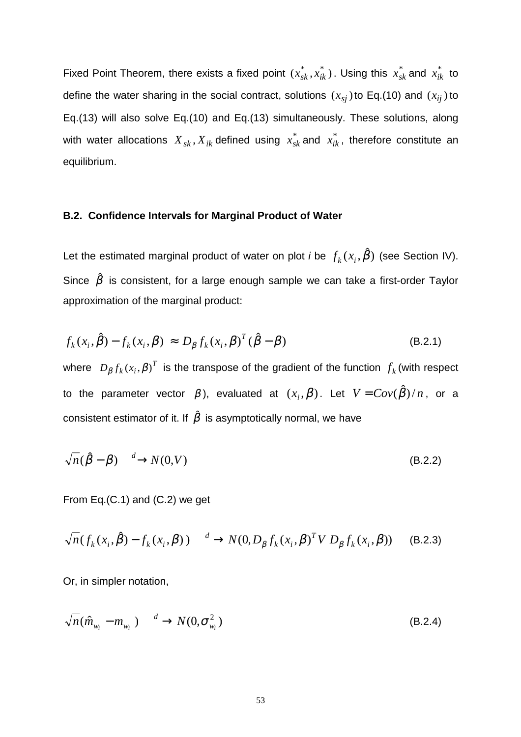Fixed Point Theorem, there exists a fixed point  $(x_{sk}^*,x_{ik}^*)$ . Using this  $x_{sk}^*$  and  $x_{ik}^*$  to define the water sharing in the social contract, solutions  $(x_{si})$  to Eq.(10) and  $(x_{ii})$  to Eq.(13) will also solve Eq.(10) and Eq.(13) simultaneously. These solutions, along with water allocations  $\,X_{\:sk}, X_{ik}$  defined using  $\,x^{*}_{sk}$  and  $\,x^{*}_{ik}$ , therefore constitute an equilibrium.

#### **B.2. Confidence Intervals for Marginal Product of Water**

Let the estimated marginal product of water on plot *i* be  $f_k(x_i, \hat{\beta})$  (see Section IV). Since  $\hat{\beta}$  is consistent, for a large enough sample we can take a first-order Taylor approximation of the marginal product:

$$
f_k(x_i, \hat{\beta}) - f_k(x_i, \beta) \approx D_{\beta} f_k(x_i, \beta)^T (\hat{\beta} - \beta)
$$
 (B.2.1)

where  $\; D_{\beta} f_k\left(x_i, \beta\right)^T\;$  is the transpose of the gradient of the function  $\; f_k\left(\text{with respect}\right)\;$ to the parameter vector  $\beta$ ), evaluated at  $(x_i, \beta)$ . Let  $V = Cov(\hat{\beta})/n$ , or a consistent estimator of it. If  $\hat{\beta}$  is asymptotically normal, we have

$$
\sqrt{n}(\hat{\beta} - \beta) \xrightarrow{d} N(0, V) \tag{B.2.2}
$$

From Eq.(C.1) and (C.2) we get

$$
\sqrt{n}(f_k(x_i,\hat{\beta}) - f_k(x_i,\beta)) \xrightarrow{d} N(0,D_\beta f_k(x_i,\beta)^T V D_\beta f_k(x_i,\beta)) \quad (B.2.3)
$$

Or, in simpler notation,

$$
\sqrt{n}(\hat{m}_{w_i} - m_{w_i}) \xrightarrow{d} N(0, \sigma_{w_i}^2)
$$
\n(B.2.4)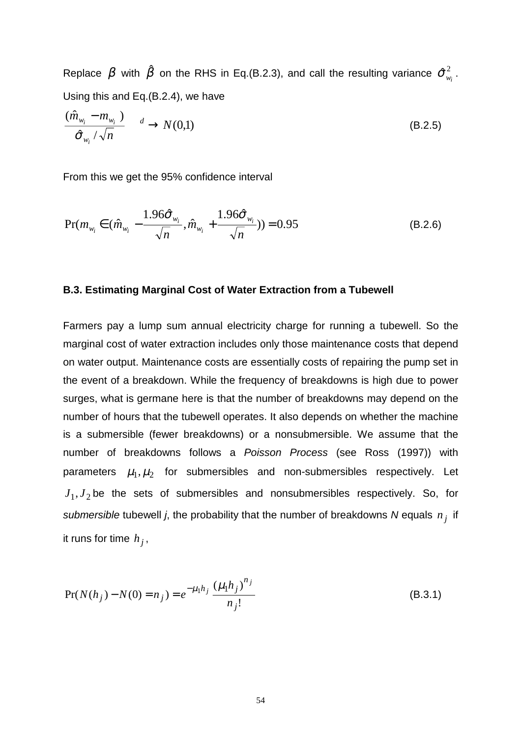Replace  $\,\beta\,$  with  $\,\hat{\beta}\,$  on the RHS in Eq.(B.2.3), and call the resulting variance  $\,\hat{\sigma}_{_{\psi_{_{i}}}}^{2}$ . Using this and Eq.(B.2.4), we have

$$
\frac{(\hat{m}_{w_i} - m_{w_i})}{\hat{\sigma}_{w_i}/\sqrt{n}} \xrightarrow{d} N(0,1)
$$
\n(B.2.5)

From this we get the 95% confidence interval

$$
Pr(m_{w_i} \in (\hat{m}_{w_i} - \frac{1.96\hat{\sigma}_{w_i}}{\sqrt{n}}, \hat{m}_{w_i} + \frac{1.96\hat{\sigma}_{w_i}}{\sqrt{n}})) = 0.95
$$
 (B.2.6)

#### **B.3. Estimating Marginal Cost of Water Extraction from a Tubewell**

Farmers pay a lump sum annual electricity charge for running a tubewell. So the marginal cost of water extraction includes only those maintenance costs that depend on water output. Maintenance costs are essentially costs of repairing the pump set in the event of a breakdown. While the frequency of breakdowns is high due to power surges, what is germane here is that the number of breakdowns may depend on the number of hours that the tubewell operates. It also depends on whether the machine is a submersible (fewer breakdowns) or a nonsubmersible. We assume that the number of breakdowns follows a *Poisson Process* (see Ross (1997)) with parameters  $\mu_1, \mu_2$  for submersibles and non-submersibles respectively. Let  $J_1, J_2$  be the sets of submersibles and nonsubmersibles respectively. So, for *submersible* tubewell *j*, the probability that the number of breakdowns *N* equals *n <sup>j</sup>* if it runs for time  $h_j$ ,

$$
Pr(N(h_j) - N(0) = n_j) = e^{-\mu_1 h_j} \frac{(\mu_1 h_j)^{n_j}}{n_j!}
$$
 (B.3.1)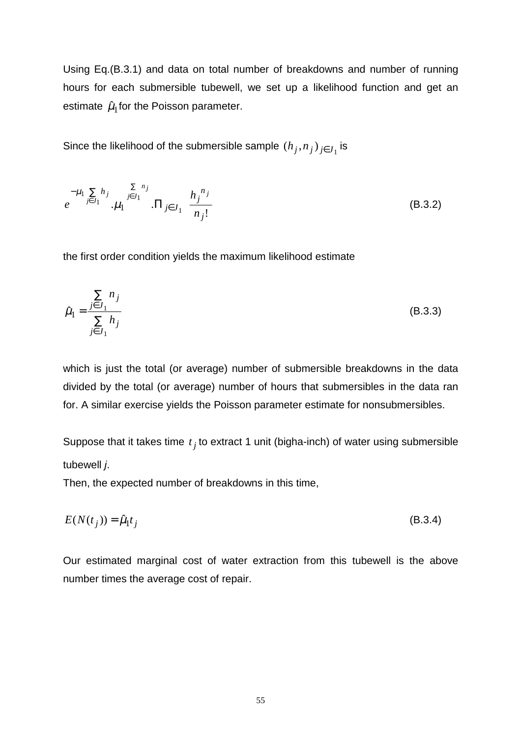Using Eq.(B.3.1) and data on total number of breakdowns and number of running hours for each submersible tubewell, we set up a likelihood function and get an estimate  $\hat{\mu}_1$  for the Poisson parameter.

Since the likelihood of the submersible sample  $(h_j, n_j)_{i \in J_j}$  is

$$
e^{-\mu_1 \sum_{j \in J_1} h_j} \cdot \mu_1 \prod_{j \in J_1}^{\sum n_j} \prod_{j \in J_1} \left( \frac{h_j^{n_j}}{n_j!} \right)
$$
 (B.3.2)

the first order condition yields the maximum likelihood estimate

$$
\hat{\mu}_1 = \frac{\sum_{j \in J_1} n_j}{\sum_{j \in J_1} h_j} \tag{B.3.3}
$$

which is just the total (or average) number of submersible breakdowns in the data divided by the total (or average) number of hours that submersibles in the data ran for. A similar exercise yields the Poisson parameter estimate for nonsubmersibles.

Suppose that it takes time  $t_j$  to extract 1 unit (bigha-inch) of water using submersible tubewell *j*.

Then, the expected number of breakdowns in this time,

$$
E(N(t_j)) = \hat{\mu}_1 t_j \tag{B.3.4}
$$

Our estimated marginal cost of water extraction from this tubewell is the above number times the average cost of repair.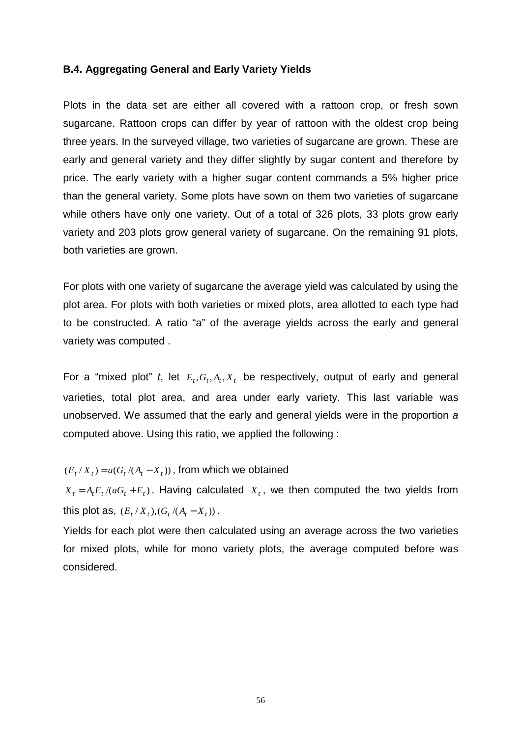#### **B.4. Aggregating General and Early Variety Yields**

Plots in the data set are either all covered with a rattoon crop, or fresh sown sugarcane. Rattoon crops can differ by year of rattoon with the oldest crop being three years. In the surveyed village, two varieties of sugarcane are grown. These are early and general variety and they differ slightly by sugar content and therefore by price. The early variety with a higher sugar content commands a 5% higher price than the general variety. Some plots have sown on them two varieties of sugarcane while others have only one variety. Out of a total of 326 plots, 33 plots grow early variety and 203 plots grow general variety of sugarcane. On the remaining 91 plots, both varieties are grown.

For plots with one variety of sugarcane the average yield was calculated by using the plot area. For plots with both varieties or mixed plots, area allotted to each type had to be constructed. A ratio "a" of the average yields across the early and general variety was computed .

For a "mixed plot"  $t$ , let  $E_t$ ,  $G_t$ ,  $A_t$ ,  $X_t$  be respectively, output of early and general varieties, total plot area, and area under early variety. This last variable was unobserved. We assumed that the early and general yields were in the proportion *a* computed above. Using this ratio, we applied the following :

 $(E_t / X_t) = a(G_t / (A_t - X_t))$ , from which we obtained

 $X_t = A_t E_t / (aG_t + E_t)$ . Having calculated  $X_t$ , we then computed the two yields from this plot as,  $(E_t / X_t), (G_t / (A_t - X_t))$ .

Yields for each plot were then calculated using an average across the two varieties for mixed plots, while for mono variety plots, the average computed before was considered.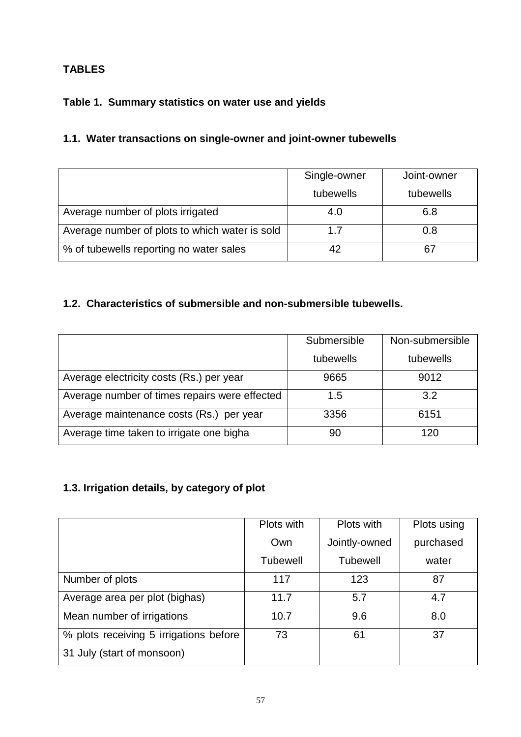# **TABLES**

# **Table 1. Summary statistics on water use and yields**

# **1.1. Water transactions on single-owner and joint-owner tubewells**

|                                                | Single-owner | Joint-owner |
|------------------------------------------------|--------------|-------------|
|                                                | tubewells    | tubewells   |
| Average number of plots irrigated              | 4.0          | 6.8         |
| Average number of plots to which water is sold | 17           | 0.8         |
| % of tubewells reporting no water sales        |              | 67          |

# **1.2. Characteristics of submersible and non-submersible tubewells.**

|                                               | Submersible | Non-submersible |
|-----------------------------------------------|-------------|-----------------|
|                                               | tubewells   | tubewells       |
| Average electricity costs (Rs.) per year      | 9665        | 9012            |
| Average number of times repairs were effected | 1.5         | 3.2             |
| Average maintenance costs (Rs.) per year      | 3356        | 6151            |
| Average time taken to irrigate one bigha      | 90          | 120             |

# **1.3. Irrigation details, by category of plot**

|                                        | Plots with      | Plots with      | Plots using |
|----------------------------------------|-----------------|-----------------|-------------|
|                                        | Own             | Jointly-owned   | purchased   |
|                                        | <b>Tubewell</b> | <b>Tubewell</b> | water       |
| Number of plots                        | 117             | 123             | 87          |
| Average area per plot (bighas)         | 11.7            | 5.7             | 4.7         |
| Mean number of irrigations             | 10.7            | 9.6             | 8.0         |
| % plots receiving 5 irrigations before | 73              | 61              | 37          |
| 31 July (start of monsoon)             |                 |                 |             |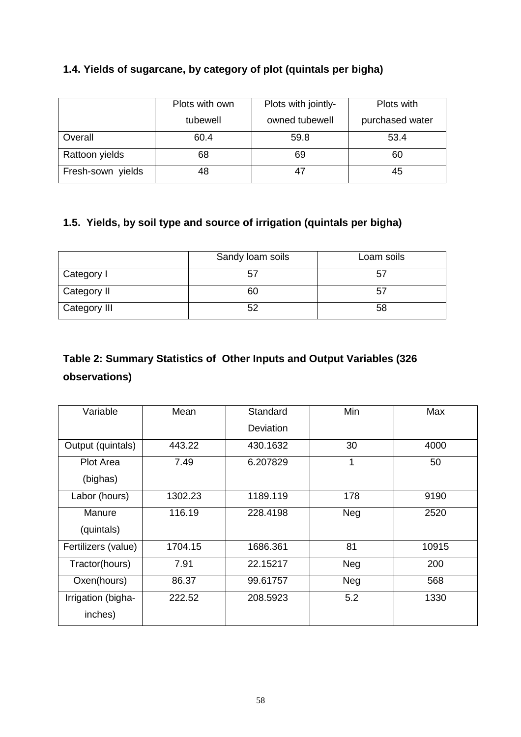# **1.4. Yields of sugarcane, by category of plot (quintals per bigha)**

|                   | Plots with own | Plots with jointly- | Plots with      |
|-------------------|----------------|---------------------|-----------------|
|                   | tubewell       | owned tubewell      | purchased water |
| Overall           | 60.4           | 59.8                | 53.4            |
| Rattoon yields    | 68             | 69                  | 60              |
| Fresh-sown yields | 48             | 47                  | 45              |

# **1.5. Yields, by soil type and source of irrigation (quintals per bigha)**

|              | Sandy loam soils | Loam soils |
|--------------|------------------|------------|
| Category I   | 57               | 57         |
| Category II  | 60               | 57         |
| Category III |                  | 58         |

# **Table 2: Summary Statistics of Other Inputs and Output Variables (326 observations)**

| Variable            | Mean    | Standard  | Min | Max   |
|---------------------|---------|-----------|-----|-------|
|                     |         | Deviation |     |       |
| Output (quintals)   | 443.22  | 430.1632  | 30  | 4000  |
| Plot Area           | 7.49    | 6.207829  | 1   | 50    |
| (bighas)            |         |           |     |       |
| Labor (hours)       | 1302.23 | 1189.119  | 178 | 9190  |
| Manure              | 116.19  | 228.4198  | Neg | 2520  |
| (quintals)          |         |           |     |       |
| Fertilizers (value) | 1704.15 | 1686.361  | 81  | 10915 |
| Tractor(hours)      | 7.91    | 22.15217  | Neg | 200   |
| Oxen(hours)         | 86.37   | 99.61757  | Neg | 568   |
| Irrigation (bigha-  | 222.52  | 208.5923  | 5.2 | 1330  |
| inches)             |         |           |     |       |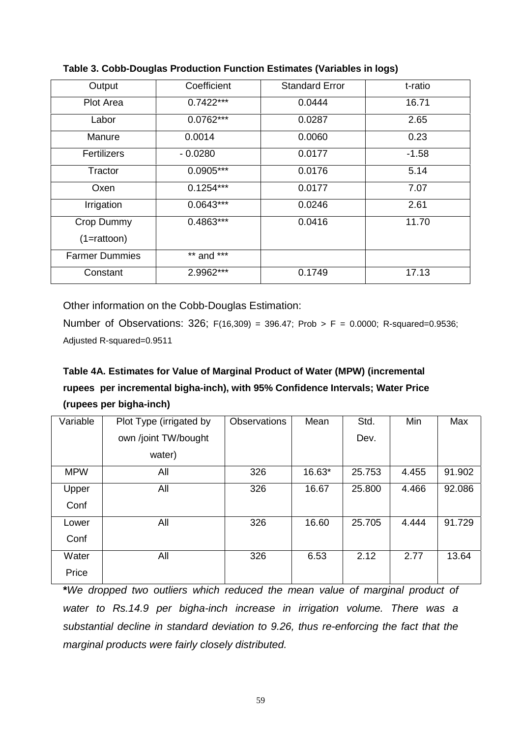| Output                               | Coefficient | <b>Standard Error</b> | t-ratio |
|--------------------------------------|-------------|-----------------------|---------|
| <b>Plot Area</b>                     | $0.7422***$ | 0.0444                | 16.71   |
| Labor                                | $0.0762***$ | 0.0287                | 2.65    |
| Manure                               | 0.0014      | 0.0060                | 0.23    |
| <b>Fertilizers</b>                   | $-0.0280$   | 0.0177                | $-1.58$ |
| Tractor                              | $0.0905***$ | 0.0176                | 5.14    |
| Oxen                                 | $0.1254***$ | 0.0177                | 7.07    |
| Irrigation                           | $0.0643***$ | 0.0246                | 2.61    |
| Crop Dummy<br>$(1 = \text{ratioon})$ | $0.4863***$ | 0.0416                | 11.70   |
| <b>Farmer Dummies</b>                | ** and ***  |                       |         |
| Constant                             | 2.9962***   | 0.1749                | 17.13   |

**Table 3. Cobb-Douglas Production Function Estimates (Variables in logs)**

Other information on the Cobb-Douglas Estimation:

Number of Observations: 326; F(16,309) = 396.47; Prob > F = 0.0000; R-squared=0.9536; Adjusted R-squared=0.9511

# **Table 4A. Estimates for Value of Marginal Product of Water (MPW) (incremental rupees per incremental bigha-inch), with 95% Confidence Intervals; Water Price (rupees per bigha-inch)**

| Variable   | Plot Type (irrigated by | <b>Observations</b> | Mean   | Std.   | Min   | Max    |
|------------|-------------------------|---------------------|--------|--------|-------|--------|
|            | own /joint TW/bought    |                     |        | Dev.   |       |        |
|            | water)                  |                     |        |        |       |        |
| <b>MPW</b> | All                     | 326                 | 16.63* | 25.753 | 4.455 | 91.902 |
| Upper      | All                     | 326                 | 16.67  | 25.800 | 4.466 | 92.086 |
| Conf       |                         |                     |        |        |       |        |
| Lower      | All                     | 326                 | 16.60  | 25.705 | 4.444 | 91.729 |
| Conf       |                         |                     |        |        |       |        |
| Water      | All                     | 326                 | 6.53   | 2.12   | 2.77  | 13.64  |
| Price      |                         |                     |        |        |       |        |

**\****We dropped two outliers which reduced the mean value of marginal product of water to Rs.14.9 per bigha-inch increase in irrigation volume. There was a substantial decline in standard deviation to 9.26, thus re-enforcing the fact that the marginal products were fairly closely distributed.*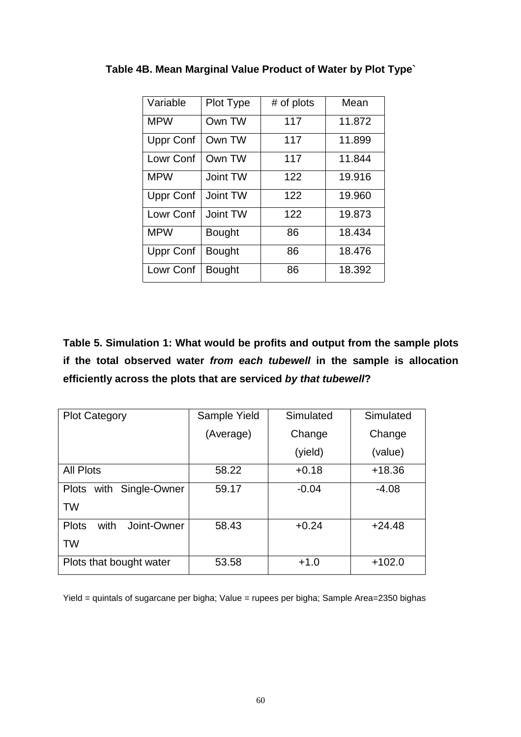| Variable         | Plot Type     | # of plots | Mean   |
|------------------|---------------|------------|--------|
| <b>MPW</b>       | Own TW        | 117        | 11.872 |
| <b>Uppr Conf</b> | Own TW        | 117        | 11.899 |
| Lowr Conf        | Own TW        | 117        | 11.844 |
| <b>MPW</b>       | Joint TW      | 122        | 19.916 |
| <b>Uppr Conf</b> | Joint TW      | 122        | 19.960 |
| Lowr Conf        | Joint TW      | 122        | 19.873 |
| <b>MPW</b>       | <b>Bought</b> | 86         | 18.434 |
| <b>Uppr Conf</b> | <b>Bought</b> | 86         | 18.476 |
| Lowr Conf        | <b>Bought</b> | 86         | 18.392 |

**Table 4B. Mean Marginal Value Product of Water by Plot Type`**

**Table 5. Simulation 1: What would be profits and output from the sample plots if the total observed water** *from each tubewell* **in the sample is allocation efficiently across the plots that are serviced** *by that tubewell***?**

| <b>Plot Category</b>                | Sample Yield | Simulated | Simulated |
|-------------------------------------|--------------|-----------|-----------|
|                                     | (Average)    | Change    | Change    |
|                                     |              | (yield)   | (value)   |
| <b>All Plots</b>                    | 58.22        | $+0.18$   | $+18.36$  |
| Single-Owner<br>Plots with          | 59.17        | $-0.04$   | $-4.08$   |
| <b>TW</b>                           |              |           |           |
| Joint-Owner<br><b>Plots</b><br>with | 58.43        | $+0.24$   | $+24.48$  |
| TW                                  |              |           |           |
| Plots that bought water             | 53.58        | $+1.0$    | $+102.0$  |

Yield = quintals of sugarcane per bigha; Value = rupees per bigha; Sample Area=2350 bighas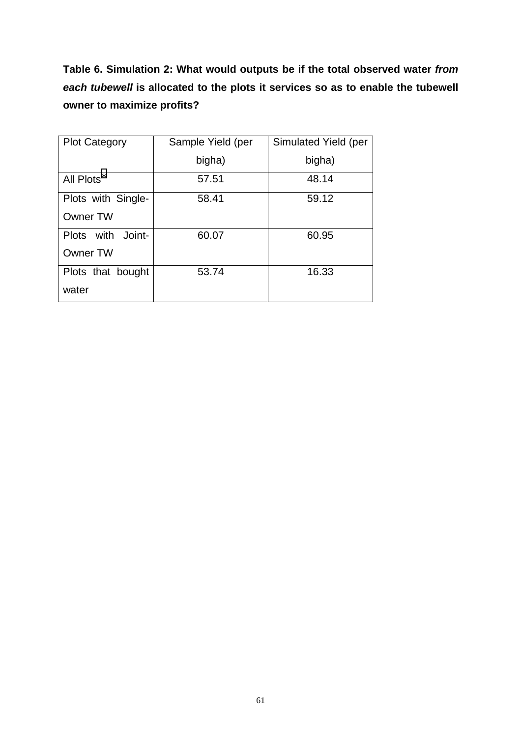**Table 6. Simulation 2: What would outputs be if the total observed water** *from each tubewell* **is allocated to the plots it services so as to enable the tubewell owner to maximize profits?**

| <b>Plot Category</b> | Sample Yield (per | Simulated Yield (per |
|----------------------|-------------------|----------------------|
|                      | bigha)            | bigha)               |
| All Plots*           | 57.51             | 48.14                |
| Plots with Single-   | 58.41             | 59.12                |
| <b>Owner TW</b>      |                   |                      |
| Plots with<br>Joint- | 60.07             | 60.95                |
| <b>Owner TW</b>      |                   |                      |
| Plots that bought    | 53.74             | 16.33                |
| water                |                   |                      |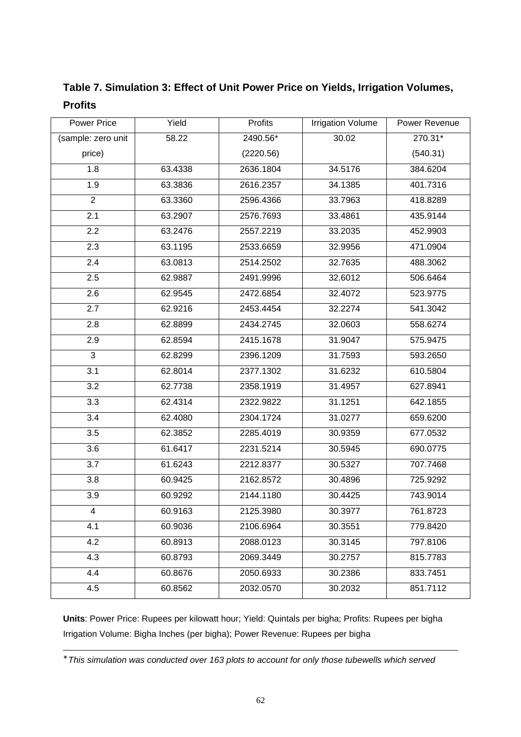| <b>Power Price</b> | Yield   | Profits   | <b>Irrigation Volume</b> | Power Revenue |
|--------------------|---------|-----------|--------------------------|---------------|
| (sample: zero unit | 58.22   | 2490.56*  | 30.02                    | 270.31*       |
| price)             |         | (2220.56) |                          | (540.31)      |
| 1.8                | 63.4338 | 2636.1804 | 34.5176                  | 384.6204      |
| 1.9                | 63.3836 | 2616.2357 | 34.1385                  | 401.7316      |
| $\overline{2}$     | 63.3360 | 2596.4366 | 33.7963                  | 418.8289      |
| 2.1                | 63.2907 | 2576.7693 | 33.4861                  | 435.9144      |
| 2.2                | 63.2476 | 2557.2219 | 33.2035                  | 452.9903      |
| 2.3                | 63.1195 | 2533.6659 | 32.9956                  | 471.0904      |
| 2.4                | 63.0813 | 2514.2502 | 32.7635                  | 488.3062      |
| 2.5                | 62.9887 | 2491.9996 | 32.6012                  | 506.6464      |
| 2.6                | 62.9545 | 2472.6854 | 32.4072                  | 523.9775      |
| 2.7                | 62.9216 | 2453.4454 | 32.2274                  | 541.3042      |
| 2.8                | 62.8899 | 2434.2745 | 32.0603                  | 558.6274      |
| 2.9                | 62.8594 | 2415.1678 | 31.9047                  | 575.9475      |
| 3                  | 62.8299 | 2396.1209 | 31.7593                  | 593.2650      |
| 3.1                | 62.8014 | 2377.1302 | 31.6232                  | 610.5804      |
| 3.2                | 62.7738 | 2358.1919 | 31.4957                  | 627.8941      |
| 3.3                | 62.4314 | 2322.9822 | 31.1251                  | 642.1855      |
| 3.4                | 62.4080 | 2304.1724 | 31.0277                  | 659.6200      |
| 3.5                | 62.3852 | 2285.4019 | 30.9359                  | 677.0532      |
| 3.6                | 61.6417 | 2231.5214 | 30.5945                  | 690.0775      |
| 3.7                | 61.6243 | 2212.8377 | 30.5327                  | 707.7468      |
| 3.8                | 60.9425 | 2162.8572 | 30.4896                  | 725.9292      |
| 3.9                | 60.9292 | 2144.1180 | 30.4425                  | 743.9014      |
| 4                  | 60.9163 | 2125.3980 | 30.3977                  | 761.8723      |
| 4.1                | 60.9036 | 2106.6964 | 30.3551                  | 779.8420      |
| 4.2                | 60.8913 | 2088.0123 | 30.3145                  | 797.8106      |
| 4.3                | 60.8793 | 2069.3449 | 30.2757                  | 815.7783      |
| 4.4                | 60.8676 | 2050.6933 | 30.2386                  | 833.7451      |
| 4.5                | 60.8562 | 2032.0570 | 30.2032                  | 851.7112      |

**Table 7. Simulation 3: Effect of Unit Power Price on Yields, Irrigation Volumes, Profits**

**Units**: Power Price: Rupees per kilowatt hour; Yield: Quintals per bigha; Profits: Rupees per bigha Irrigation Volume: Bigha Inches (per bigha); Power Revenue: Rupees per bigha

<sup>∗</sup> *This simulation was conducted over 163 plots to account for only those tubewells which served*

 $\overline{a}$